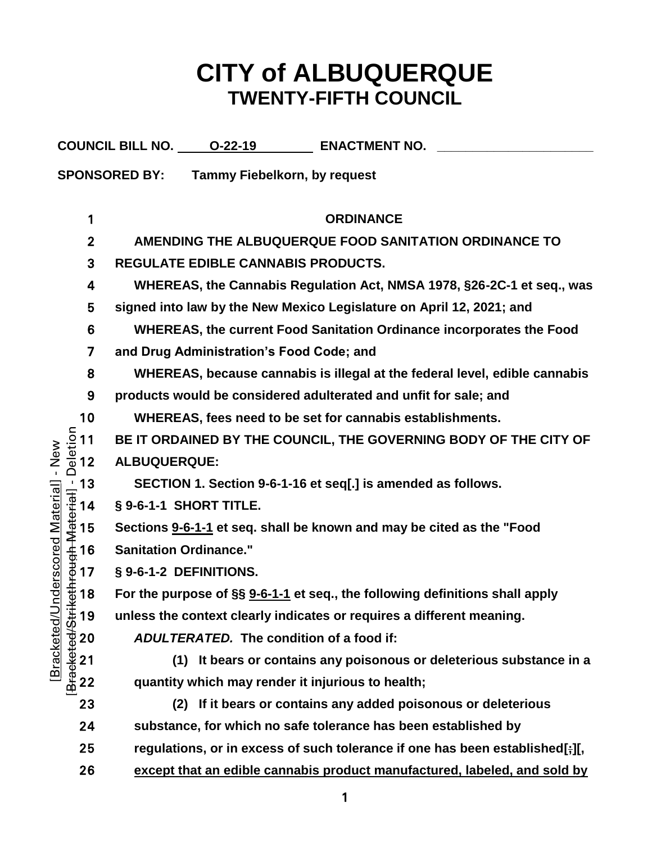# **CITY of ALBUQUERQUE TWENTY-FIFTH COUNCIL**

|                                                   | COUNCIL BILL NO. 0-22-19<br><b>ENACTMENT NO.</b>                             |
|---------------------------------------------------|------------------------------------------------------------------------------|
|                                                   | <b>SPONSORED BY:</b><br><b>Tammy Fiebelkorn, by request</b>                  |
|                                                   |                                                                              |
| 1                                                 | <b>ORDINANCE</b>                                                             |
| $\mathbf{2}$                                      | AMENDING THE ALBUQUERQUE FOOD SANITATION ORDINANCE TO                        |
| 3                                                 | <b>REGULATE EDIBLE CANNABIS PRODUCTS.</b>                                    |
| 4                                                 | WHEREAS, the Cannabis Regulation Act, NMSA 1978, §26-2C-1 et seq., was       |
| 5                                                 | signed into law by the New Mexico Legislature on April 12, 2021; and         |
| 6                                                 | WHEREAS, the current Food Sanitation Ordinance incorporates the Food         |
| 7                                                 | and Drug Administration's Food Code; and                                     |
| 8                                                 | WHEREAS, because cannabis is illegal at the federal level, edible cannabis   |
| 9                                                 | products would be considered adulterated and unfit for sale; and             |
| 10                                                | WHEREAS, fees need to be set for cannabis establishments.                    |
|                                                   | BE IT ORDAINED BY THE COUNCIL, THE GOVERNING BODY OF THE CITY OF             |
| New<br>$\bar{1}$                                  | ALBUQUERQUE:                                                                 |
|                                                   | SECTION 1. Section 9-6-1-16 et seq[.] is amended as follows.                 |
|                                                   | § 9-6-1-1 SHORT TITLE.                                                       |
| nderscored Material]                              | Sections 9-6-1-1 et seq. shall be known and may be cited as the "Food        |
|                                                   | <b>Sanitation Ordinance."</b>                                                |
|                                                   | § 9-6-1-2 DEFINITIONS.                                                       |
|                                                   | For the purpose of §§ 9-6-1-1 et seq., the following definitions shall apply |
| 19                                                | unless the context clearly indicates or requires a different meaning.        |
| <b>Bracketed/Stri</b><br><b>Bracketed/L</b><br>20 | <b>ADULTERATED.</b> The condition of a food if:                              |
| 21                                                | It bears or contains any poisonous or deleterious substance in a<br>(1)      |
| 22                                                | quantity which may render it injurious to health;                            |
| 23                                                | If it bears or contains any added poisonous or deleterious<br>(2)            |
| 24                                                | substance, for which no safe tolerance has been established by               |
| 25                                                | regulations, or in excess of such tolerance if one has been established[;][, |
| 26                                                | except that an edible cannabis product manufactured, labeled, and sold by    |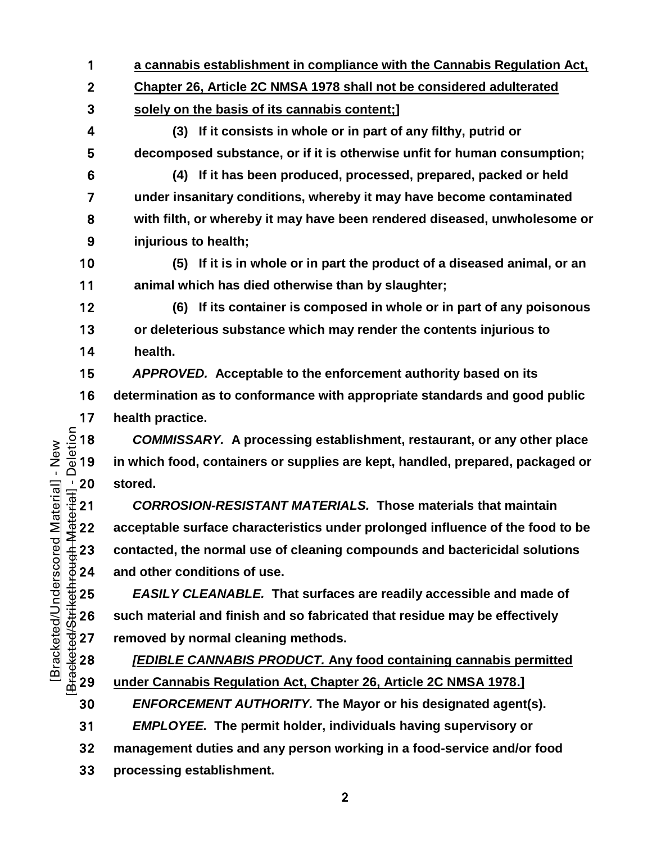**a cannabis establishment in compliance with the Cannabis Regulation Act, Chapter 26, Article 2C NMSA 1978 shall not be considered adulterated solely on the basis of its cannabis content;]**

**(3) If it consists in whole or in part of any filthy, putrid or decomposed substance, or if it is otherwise unfit for human consumption;**

**(4) If it has been produced, processed, prepared, packed or held under insanitary conditions, whereby it may have become contaminated with filth, or whereby it may have been rendered diseased, unwholesome or injurious to health;**

**(5) If it is in whole or in part the product of a diseased animal, or an animal which has died otherwise than by slaughter;**

**(6) If its container is composed in whole or in part of any poisonous or deleterious substance which may render the contents injurious to health.**

*APPROVED.* **Acceptable to the enforcement authority based on its** 

**determination as to conformance with appropriate standards and good public** 

17 **health practice.**<br>  $\frac{5}{10}$  18 *COMMISSAR*<br>  $\frac{1}{\omega}$  19 in which food, c *COMMISSARY.* **A processing establishment, restaurant, or any other place**  in which food, containers or supplies are kept, handled, prepared, packaged or

 $\frac{1}{10}$  20 stored.<br>  $\frac{1}{2}$  21 COR<br>  $\frac{2}{2}$  22 accepta<br>  $\frac{1}{2}$  23 contact<br>  $\frac{1}{2}$  24 and oth *CORROSION-RESISTANT MATERIALS.* **Those materials that maintain acceptable surface characteristics under prolonged influence of the food to be contacted, the normal use of cleaning compounds and bactericidal solutions**  and other conditions of use.

EASILY CLEANABLE. That surfaces are readily accessible and made of<br>  $\frac{4}{30}$  26 such material and finish and so fabricated that residue may be effectively<br>  $\frac{4}{30}$  27 removed by normal cleaning methods.<br>
<u>EDIBLE CANNA</u> **such material and finish and so fabricated that residue may be effectively**  removed by normal cleaning methods.

*[EDIBLE CANNABIS PRODUCT.* **Any food containing cannabis permitted under Cannabis Regulation Act, Chapter 26, Article 2C NMSA 1978.]**

*ENFORCEMENT AUTHORITY.* **The Mayor or his designated agent(s).**

*EMPLOYEE.* **The permit holder, individuals having supervisory or** 

**management duties and any person working in a food-service and/or food processing establishment.**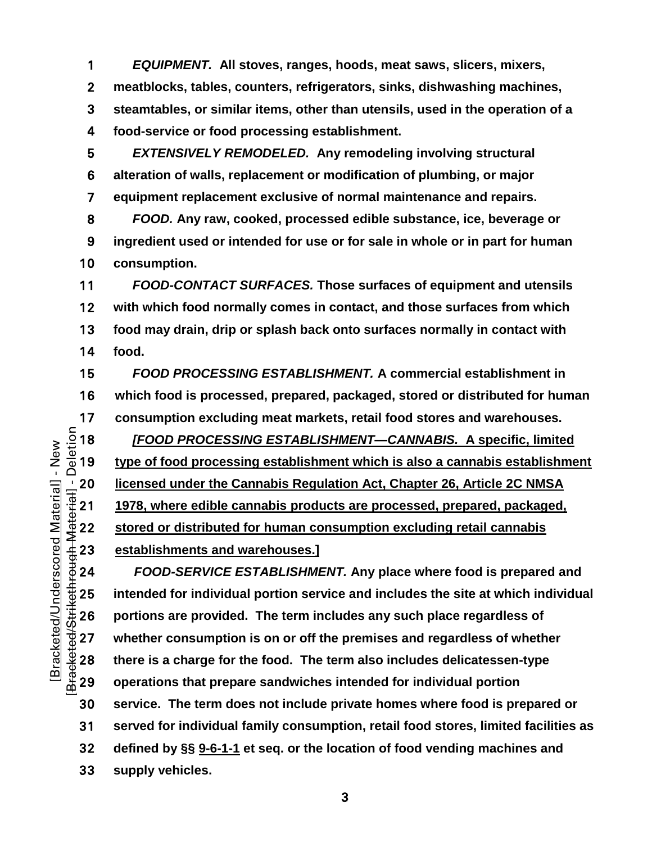*EQUIPMENT.* **All stoves, ranges, hoods, meat saws, slicers, mixers, meatblocks, tables, counters, refrigerators, sinks, dishwashing machines, steamtables, or similar items, other than utensils, used in the operation of a food-service or food processing establishment.**

*EXTENSIVELY REMODELED.* **Any remodeling involving structural alteration of walls, replacement or modification of plumbing, or major equipment replacement exclusive of normal maintenance and repairs.**

*FOOD.* **Any raw, cooked, processed edible substance, ice, beverage or ingredient used or intended for use or for sale in whole or in part for human consumption.**

*FOOD-CONTACT SURFACES.* **Those surfaces of equipment and utensils with which food normally comes in contact, and those surfaces from which food may drain, drip or splash back onto surfaces normally in contact with food.**

*FOOD PROCESSING ESTABLISHMENT.* **A commercial establishment in which food is processed, prepared, packaged, stored or distributed for human** 

17 consumption excluding meat markets, retail food stores and warehouses.<br>  $\frac{5}{2}$  18 *[FOOD PROCESSING ESTABLISHMENT—CANNABIS.* A specific, limite<br>  $\frac{1}{2}$  19 type of food processing establishment which is also a cann *[FOOD PROCESSING ESTABLISHMENT—CANNABIS.* **A specific, limited type of food processing establishment which is also a cannabis establishment**  <u><sup>1</sup> 20 licensed under the Cannabis Regulation Act, Chapter 26, Article 2C NMSA<br>  $\frac{1978}{45}$  21 1978, where edible cannabis products are processed, prepared, packaged,<br>  $\frac{4}{3}$  22 stored or distributed for human consu</u> **1978, where edible cannabis products are processed, prepared, packaged, stored or distributed for human consumption excluding retail cannabis establishments and warehouses.]**

*FOOD-SERVICE ESTABLISHMENT.* **Any place where food is prepared and**  THE 25 intended for individual portion service and includes the site at which individual<br>  $\frac{1}{20}$  portions are provided. The term includes any such place regardless of<br>  $\frac{1}{20}$  whether consumption is on or off the p **portions are provided. The term includes any such place regardless of whether consumption is on or off the premises and regardless of whether there is a charge for the food. The term also includes delicatessen-type operations that prepare sandwiches intended for individual portion service. The term does not include private homes where food is prepared or served for individual family consumption, retail food stores, limited facilities as defined by §§ [9-6-1-1](https://codelibrary.amlegal.com/codes/albuquerque/latest/albuquerque_nm/0-0-0-11482#JD_9-6-1-1) et seq. or the location of food vending machines and supply vehicles.**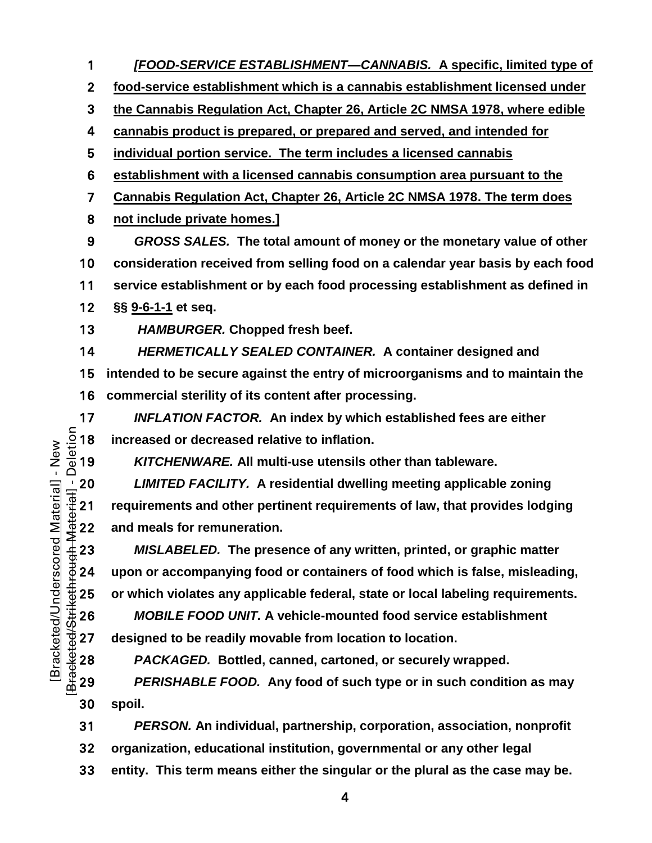**food-service establishment which is a cannabis establishment licensed under the Cannabis Regulation Act, Chapter 26, Article 2C NMSA 1978, where edible cannabis product is prepared, or prepared and served, and intended for individual portion service. The term includes a licensed cannabis establishment with a licensed cannabis consumption area pursuant to the Cannabis Regulation Act, Chapter 26, Article 2C NMSA 1978. The term does not include private homes.]** *GROSS SALES.* **The total amount of money or the monetary value of other consideration received from selling food on a calendar year basis by each food service establishment or by each food processing establishment as defined in §§ [9-6-1-1](https://codelibrary.amlegal.com/codes/albuquerque/latest/albuquerque_nm/0-0-0-11482#JD_9-6-1-1) et seq.** *HAMBURGER.* **Chopped fresh beef.**

*[FOOD-SERVICE ESTABLISHMENT—CANNABIS.* **A specific, limited type of** 

*HERMETICALLY SEALED CONTAINER.* **A container designed and intended to be secure against the entry of microorganisms and to maintain the commercial sterility of its content after processing.**

17 *INFLATION FACTOR.* An index by which established fees are either<br>  $\frac{5}{8}$  18 increased or decreased relative to inflation.<br>
219 *KITCHENWARE.* All multi-use utensils other than tableware. increased or decreased relative to inflation.

*KITCHENWARE.* **All multi-use utensils other than tableware.**

<u><sup>1</sup>/20 *LIMITED FACILITY.* A residential dwelling meeting applicable zoning<br>
definition:<br>
21 requirements and other pertinent requirements of law, that provides lodg<br>
22 and meals for remuneration.<br>
4 23 *MISLABELED*. Th</u> **requirements and other pertinent requirements of law, that provides lodging**  and meals for remuneration.

*MISLABELED.* **The presence of any written, printed, or graphic matter upon or accompanying food or containers of food which is false, misleading,** 

 $+6000$ ⇒ 25 or which violates any applicable federal, state or local labeling requirements.<br>
∴‡ 26 *MOBILE FOOD UNIT.* A vehicle-mounted food service establishment<br>
⇒ 27 designed to be readily movable from location to lo *MOBILE FOOD UNIT.* **A vehicle-mounted food service establishment**  designed to be readily movable from location to location.

*PACKAGED.* **Bottled, canned, cartoned, or securely wrapped.**

*PERISHABLE FOOD.* **Any food of such type or in such condition as may spoil.**

*PERSON.* **An individual, partnership, corporation, association, nonprofit** 

**organization, educational institution, governmental or any other legal** 

**entity. This term means either the singular or the plural as the case may be.**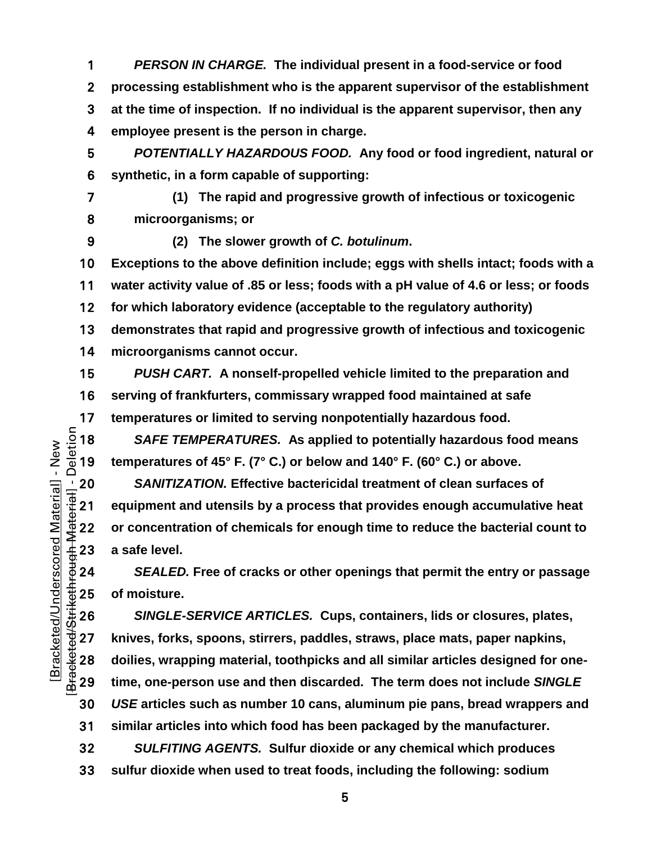*PERSON IN CHARGE.* **The individual present in a food-service or food processing establishment who is the apparent supervisor of the establishment at the time of inspection. If no individual is the apparent supervisor, then any employee present is the person in charge.**

*POTENTIALLY HAZARDOUS FOOD.* **Any food or food ingredient, natural or synthetic, in a form capable of supporting:**

- 
- 

**(1) The rapid and progressive growth of infectious or toxicogenic microorganisms; or**

**(2) The slower growth of** *C. botulinum***.**

**Exceptions to the above definition include; eggs with shells intact; foods with a water activity value of .85 or less; foods with a pH value of 4.6 or less; or foods for which laboratory evidence (acceptable to the regulatory authority) demonstrates that rapid and progressive growth of infectious and toxicogenic** 

**microorganisms cannot occur.**

*PUSH CART.* **A nonself-propelled vehicle limited to the preparation and serving of frankfurters, commissary wrapped food maintained at safe** 

17 temperatures or limited to serving nonpotentially hazardous food.<br>  $\frac{5}{10}$  18 SAFE TEMPERATURES. As applied to potentially hazardous for  $\frac{1}{10}$  19 temperatures of 45° F. (7° C.) or below and 140° F. (60° C.) or a *SAFE TEMPERATURES.* **As applied to potentially hazardous food means temperatures of 45° F. (7° C.) or below and 140° F. (60° C.) or above.**

*SANITIZATION.* Effective bactericidal treatment of clean surfaces of<br>  $\frac{1}{3}$  21 equipment and utensils by a process that provides enough accumulative<br>
22 or concentration of chemicals for enough time to reduce the **equipment and utensils by a process that provides enough accumulative heat or concentration of chemicals for enough time to reduce the bacterial count to**  a safe level.

*SEALED.* **Free of cracks or other openings that permit the entry or passage** 

 $\begin{array}{ll}\n\text{\#} 25 & \text{of moisture.} \\
\text{\#} 26 & \text{SINGLE-} \\
\text{\#} 27 & \text{knives, forks} \\
\text{\#} 28 & \text{doilies, wrap} \\
\text{\#} 29 & \text{time, one-pe}\n\end{array}$ *SINGLE-SERVICE ARTICLES.* **Cups, containers, lids or closures, plates, knives, forks, spoons, stirrers, paddles, straws, place mats, paper napkins, doilies, wrapping material, toothpicks and all similar articles designed for one-time, one-person use and then discarded. The term does not include** *SINGLE USE* **articles such as number 10 cans, aluminum pie pans, bread wrappers and similar articles into which food has been packaged by the manufacturer.**

*SULFITING AGENTS.* **Sulfur dioxide or any chemical which produces sulfur dioxide when used to treat foods, including the following: sodium**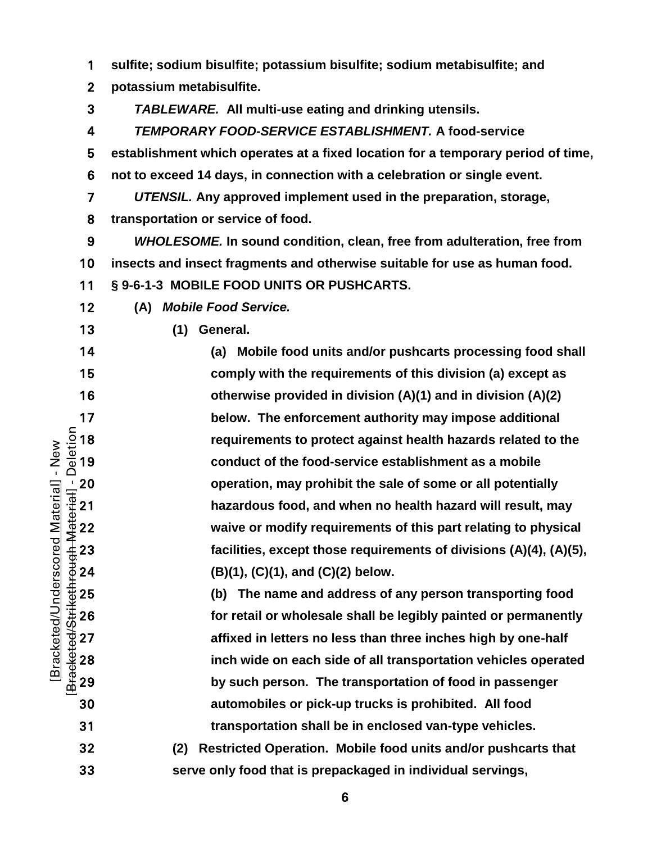| 1                                                                            | sulfite; sodium bisulfite; potassium bisulfite; sodium metabisulfite; and        |
|------------------------------------------------------------------------------|----------------------------------------------------------------------------------|
| $\mathbf{2}$                                                                 | potassium metabisulfite.                                                         |
| 3                                                                            | <b>TABLEWARE.</b> All multi-use eating and drinking utensils.                    |
| 4                                                                            | TEMPORARY FOOD-SERVICE ESTABLISHMENT. A food-service                             |
| 5                                                                            | establishment which operates at a fixed location for a temporary period of time, |
| 6                                                                            | not to exceed 14 days, in connection with a celebration or single event.         |
| 7                                                                            | UTENSIL. Any approved implement used in the preparation, storage,                |
| 8                                                                            | transportation or service of food.                                               |
| 9                                                                            | WHOLESOME. In sound condition, clean, free from adulteration, free from          |
| 10                                                                           | insects and insect fragments and otherwise suitable for use as human food.       |
| 11                                                                           | § 9-6-1-3 MOBILE FOOD UNITS OR PUSHCARTS.                                        |
| 12                                                                           | <b>Mobile Food Service.</b><br>(A)                                               |
| 13                                                                           | General.<br>(1)                                                                  |
| 14                                                                           | Mobile food units and/or pushcarts processing food shall<br>(a)                  |
| 15                                                                           | comply with the requirements of this division (a) except as                      |
| 16                                                                           | otherwise provided in division (A)(1) and in division (A)(2)                     |
| 17                                                                           | below. The enforcement authority may impose additional                           |
| Deletion<br>18                                                               | requirements to protect against health hazards related to the                    |
| New<br>19<br>$\mathbf{I}$                                                    | conduct of the food-service establishment as a mobile                            |
| $\frac{1}{10}$ 20<br>$\frac{1}{10}$ 21<br>$\frac{1}{10}$ 22<br>$\frac{1}{2}$ | operation, may prohibit the sale of some or all potentially                      |
| Material]                                                                    | hazardous food, and when no health hazard will result, may                       |
|                                                                              | waive or modify requirements of this part relating to physical                   |
| 23                                                                           | facilities, except those requirements of divisions (A)(4), (A)(5),               |
| Bracketed/Underscored<br>Bracketed/Strikethrough-A<br>24                     | (B)(1), (C)(1), and (C)(2) below.                                                |
| 25                                                                           | The name and address of any person transporting food<br>(b)                      |
| 26                                                                           | for retail or wholesale shall be legibly painted or permanently                  |
| 27                                                                           | affixed in letters no less than three inches high by one-half                    |
| 28                                                                           | inch wide on each side of all transportation vehicles operated                   |
| 29                                                                           | by such person. The transportation of food in passenger                          |
| 30                                                                           | automobiles or pick-up trucks is prohibited. All food                            |
| 31                                                                           | transportation shall be in enclosed van-type vehicles.                           |
| 32                                                                           | Restricted Operation. Mobile food units and/or pushcarts that<br>(2)             |
| 33                                                                           | serve only food that is prepackaged in individual servings,                      |

 $\overline{6}$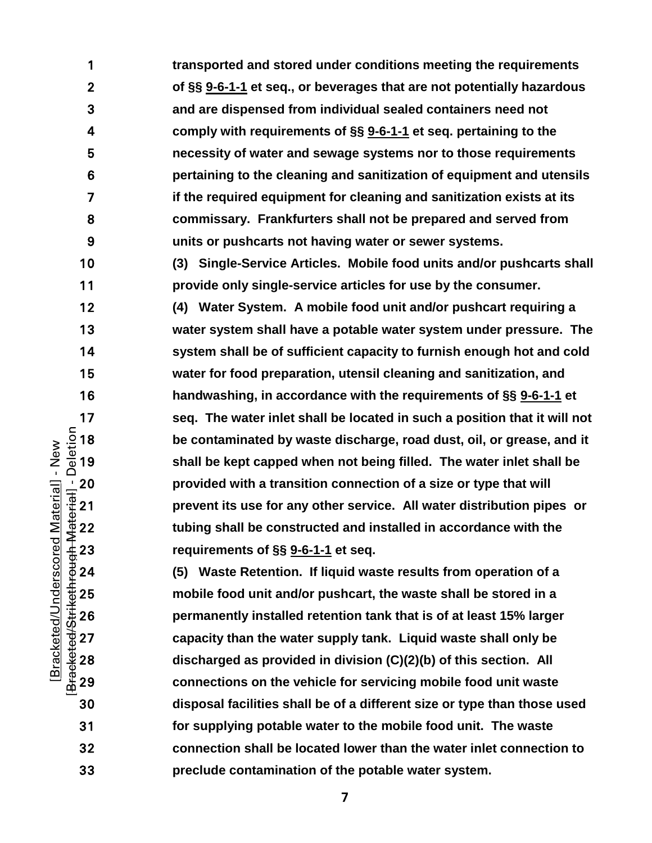**transported and stored under conditions meeting the requirements of §§ [9-6-1-1](https://codelibrary.amlegal.com/codes/albuquerque/latest/albuquerque_nm/0-0-0-11482#JD_9-6-1-1) et seq., or beverages that are not potentially hazardous and are dispensed from individual sealed containers need not comply with requirements of §§ [9-6-1-1](https://codelibrary.amlegal.com/codes/albuquerque/latest/albuquerque_nm/0-0-0-11482#JD_9-6-1-1) et seq. pertaining to the necessity of water and sewage systems nor to those requirements pertaining to the cleaning and sanitization of equipment and utensils if the required equipment for cleaning and sanitization exists at its commissary. Frankfurters shall not be prepared and served from units or pushcarts not having water or sewer systems. (3) Single-Service Articles. Mobile food units and/or pushcarts shall provide only single-service articles for use by the consumer. (4) Water System. A mobile food unit and/or pushcart requiring a water system shall have a potable water system under pressure. The system shall be of sufficient capacity to furnish enough hot and cold water for food preparation, utensil cleaning and sanitization, and handwashing, in accordance with the requirements of §§ [9-6-1-1](https://codelibrary.amlegal.com/codes/albuquerque/latest/albuquerque_nm/0-0-0-11482#JD_9-6-1-1) et**  17 seq. The water inlet shall be located in such a position that it will not  $\frac{5}{10}$  18 be contaminated by waste discharge, road dust, oil, or grease, and it shall be kept capped when not being filled. The water inlet s **be contaminated by waste discharge, road dust, oil, or grease, and it shall be kept capped when not being filled. The water inlet shall be**  20 provided with a transition connection of a size or type that will<br>  $\frac{1}{10}$  21 prevent its use for any other service. All water distribution pipe<br>  $\frac{1}{2}$  22 tubing shall be constructed and installed in accordance **prevent its use for any other service. All water distribution pipes or tubing shall be constructed and installed in accordance with the** 

**(5) Waste Retention. If liquid waste results from operation of a**  acked the mobile food unit and/or pushcart, the waste shall be stored in a<br>  $\frac{3}{42}$  26 permanently installed retention tank that is of at least 15% large<br>
activation the water supply tank. Liquid waste shall only be<br> **permanently installed retention tank that is of at least 15% larger capacity than the water supply tank. Liquid waste shall only be discharged as provided in division (C)(2)(b) of this section. All connections on the vehicle for servicing mobile food unit waste disposal facilities shall be of a different size or type than those used for supplying potable water to the mobile food unit. The waste connection shall be located lower than the water inlet connection to preclude contamination of the potable water system.**

**requirements of §§ [9-6-1-1](https://codelibrary.amlegal.com/codes/albuquerque/latest/albuquerque_nm/0-0-0-11482#JD_9-6-1-1) et seq.**

[Bracketed/Underscored Material] - New [Bracketed/Strikethrough Material] - Deletion

Bracketed/Underscored Material] - New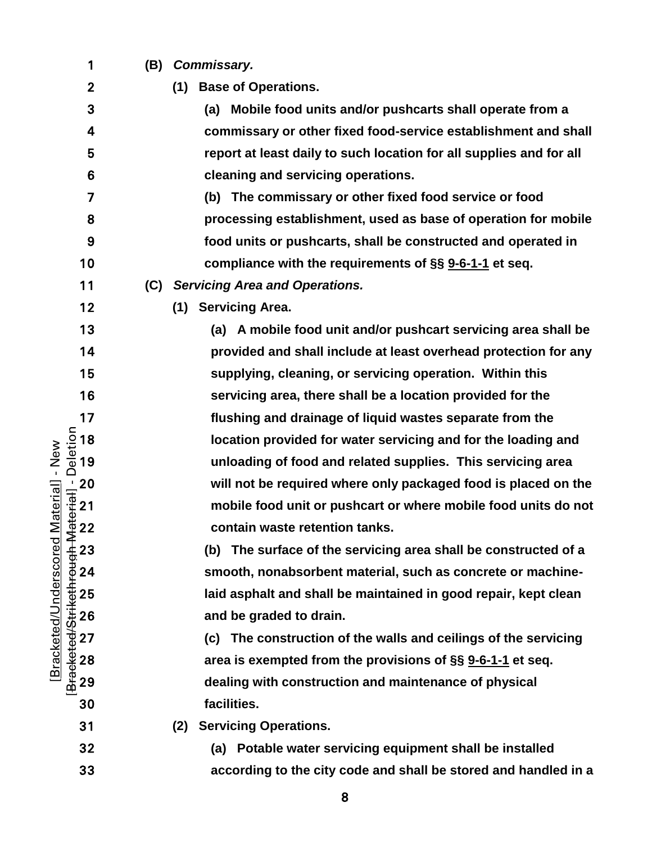|                       | 1                                                                                                                                             | (B) | Commissary.                                                         |
|-----------------------|-----------------------------------------------------------------------------------------------------------------------------------------------|-----|---------------------------------------------------------------------|
|                       | $\boldsymbol{2}$                                                                                                                              |     | <b>Base of Operations.</b><br>(1)                                   |
|                       | 3                                                                                                                                             |     | (a) Mobile food units and/or pushcarts shall operate from a         |
|                       | 4                                                                                                                                             |     | commissary or other fixed food-service establishment and shall      |
|                       | 5                                                                                                                                             |     | report at least daily to such location for all supplies and for all |
|                       | 6                                                                                                                                             |     | cleaning and servicing operations.                                  |
|                       | 7                                                                                                                                             |     | (b) The commissary or other fixed food service or food              |
|                       | 8                                                                                                                                             |     | processing establishment, used as base of operation for mobile      |
|                       | 9                                                                                                                                             |     | food units or pushcarts, shall be constructed and operated in       |
|                       | 10                                                                                                                                            |     | compliance with the requirements of §§ 9-6-1-1 et seq.              |
|                       | 11                                                                                                                                            | (C) | <b>Servicing Area and Operations.</b>                               |
|                       | 12                                                                                                                                            |     | (1) Servicing Area.                                                 |
|                       | 13                                                                                                                                            |     | (a) A mobile food unit and/or pushcart servicing area shall be      |
|                       | 14                                                                                                                                            |     | provided and shall include at least overhead protection for any     |
|                       | 15                                                                                                                                            |     | supplying, cleaning, or servicing operation. Within this            |
|                       | 16                                                                                                                                            |     | servicing area, there shall be a location provided for the          |
|                       | 17                                                                                                                                            |     | flushing and drainage of liquid wastes separate from the            |
|                       |                                                                                                                                               |     | location provided for water servicing and for the loading and       |
| New<br>$\mathbf{I}$   |                                                                                                                                               |     | unloading of food and related supplies. This servicing area         |
|                       |                                                                                                                                               |     | will not be required where only packaged food is placed on the      |
| Material]             | BracketedStrikethrough Material] - Deletion<br>BracketedStrikethrough Material] - Deletion<br>2 2 2 2 3 2 2 3 2 3 9 8 2 2 3 3 2 3 3 9 9 8 2 3 |     | mobile food unit or pushcart or where mobile food units do not      |
|                       |                                                                                                                                               |     | contain waste retention tanks.                                      |
| Bracketed/Underscored |                                                                                                                                               |     | The surface of the servicing area shall be constructed of a<br>(b)  |
|                       |                                                                                                                                               |     | smooth, nonabsorbent material, such as concrete or machine-         |
|                       |                                                                                                                                               |     | laid asphalt and shall be maintained in good repair, kept clean     |
|                       |                                                                                                                                               |     | and be graded to drain.                                             |
|                       |                                                                                                                                               |     | (c) The construction of the walls and ceilings of the servicing     |
|                       |                                                                                                                                               |     | area is exempted from the provisions of §§ 9-6-1-1 et seq.          |
|                       |                                                                                                                                               |     | dealing with construction and maintenance of physical               |
|                       | 30                                                                                                                                            |     | facilities.                                                         |
|                       | 31                                                                                                                                            |     | <b>Servicing Operations.</b><br>(2)                                 |
|                       | 32                                                                                                                                            |     | (a) Potable water servicing equipment shall be installed            |
|                       | 33                                                                                                                                            |     | according to the city code and shall be stored and handled in a     |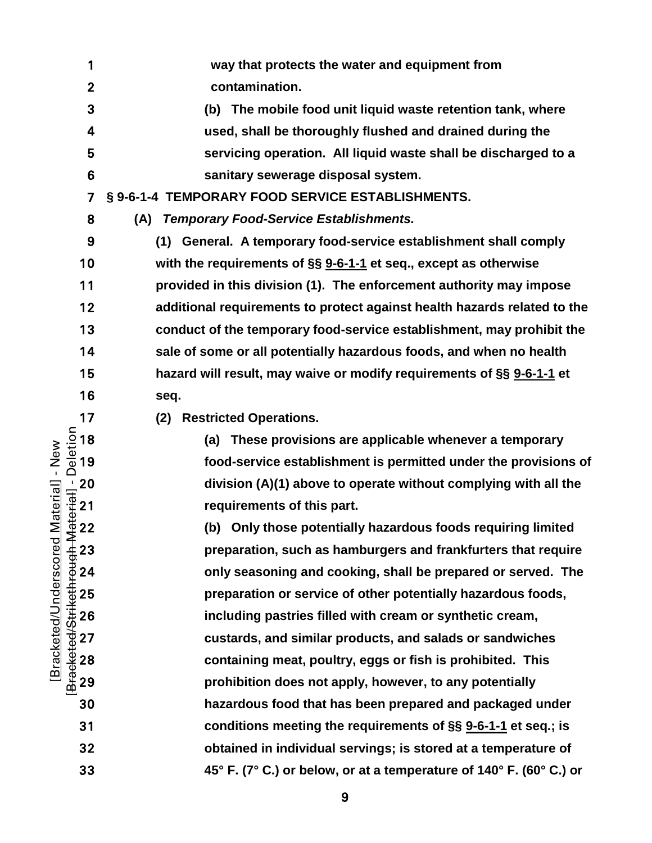[Bracketed/Underscored Material] - New [Bracketed/Strikethrough Material] - Deletion **way that protects the water and equipment from contamination. (b) The mobile food unit liquid waste retention tank, where used, shall be thoroughly flushed and drained during the servicing operation. All liquid waste shall be discharged to a sanitary sewerage disposal system. § 9-6-1-4 TEMPORARY FOOD SERVICE ESTABLISHMENTS. (A)** *Temporary Food-Service Establishments.* **(1) General. A temporary food-service establishment shall comply with the requirements of §§ [9-6-1-1](https://codelibrary.amlegal.com/codes/albuquerque/latest/albuquerque_nm/0-0-0-11482#JD_9-6-1-1) et seq., except as otherwise provided in this division (1). The enforcement authority may impose additional requirements to protect against health hazards related to the conduct of the temporary food-service establishment, may prohibit the sale of some or all potentially hazardous foods, and when no health hazard will result, may waive or modify requirements of §§ [9-6-1-1](https://codelibrary.amlegal.com/codes/albuquerque/latest/albuquerque_nm/0-0-0-11482#JD_9-6-1-1) et seq.** 17 (2) Restricted Operations.<br>
<u>5</u> 18 (a) These provision<br>  $\frac{5}{8}$  19 food-service estable **(a) These provisions are applicable whenever a temporary food-service establishment is permitted under the provisions of**  20 division (A)(1) above to operate without complying with all the<br>
arguing and the potentially hazardous foods requiring limited<br>
422 (b) Only those potentially hazardous foods requiring limited<br>
423 preparation, such a requirements of this part. **(b) Only those potentially hazardous foods requiring limited preparation, such as hamburgers and frankfurters that require only seasoning and cooking, shall be prepared or served. The preparation or service of other potentially hazardous foods,**<br>
26 **including pastries filled with cream or synthetic cream,**<br>
27 custards, and similar products, and salads or sandwiches<br>
28 containing meat, poultry, **including pastries filled with cream or synthetic cream, custards, and similar products, and salads or sandwiches containing meat, poultry, eggs or fish is prohibited. This prohibition does not apply, however, to any potentially hazardous food that has been prepared and packaged under conditions meeting the requirements of §§ [9-6-1-1](https://codelibrary.amlegal.com/codes/albuquerque/latest/albuquerque_nm/0-0-0-11482#JD_9-6-1-1) et seq.; is obtained in individual servings; is stored at a temperature of 45° F. (7° C.) or below, or at a temperature of 140° F. (60° C.) or** 

Bracketed/Underscored Material] - New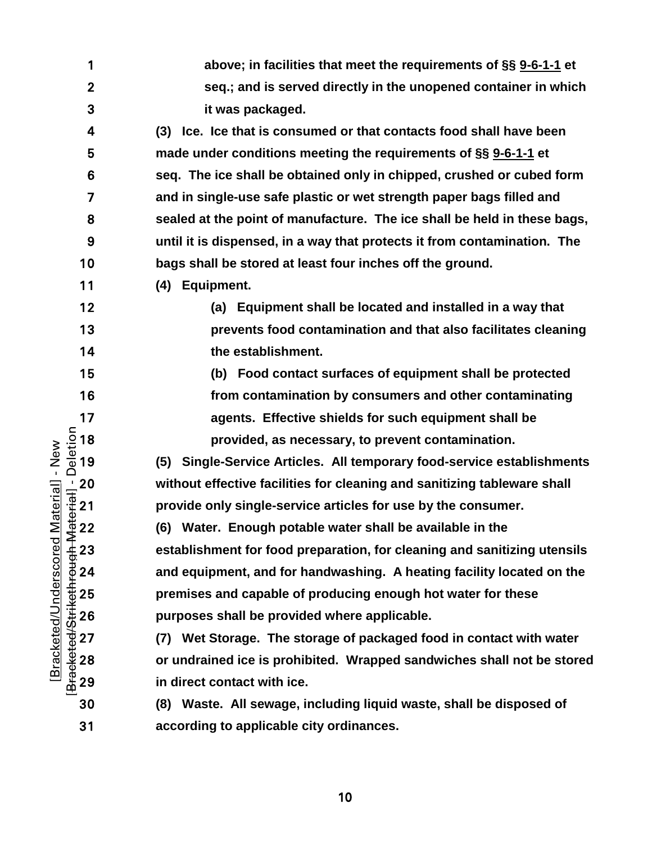| 1            | above; in facilities that meet the requirements of §§ 9-6-1-1 et         |
|--------------|--------------------------------------------------------------------------|
| $\mathbf{2}$ | seq.; and is served directly in the unopened container in which          |
| 3            | it was packaged.                                                         |
| 4            | Ice. Ice that is consumed or that contacts food shall have been<br>(3)   |
| 5            | made under conditions meeting the requirements of §§ 9-6-1-1 et          |
| 6            | seq. The ice shall be obtained only in chipped, crushed or cubed form    |
| 7            | and in single-use safe plastic or wet strength paper bags filled and     |
| 8            | sealed at the point of manufacture. The ice shall be held in these bags, |
| 9            | until it is dispensed, in a way that protects it from contamination. The |
| 10           | bags shall be stored at least four inches off the ground.                |
| 11           | (4) Equipment.                                                           |
| 12           | (a) Equipment shall be located and installed in a way that               |
| 13           | prevents food contamination and that also facilitates cleaning           |
| 14           | the establishment.                                                       |
| 15           | (b) Food contact surfaces of equipment shall be protected                |
| 16           | from contamination by consumers and other contaminating                  |
| 17           | agents. Effective shields for such equipment shall be                    |
|              | provided, as necessary, to prevent contamination.                        |
|              | (5) Single-Service Articles. All temporary food-service establishments   |
|              | without effective facilities for cleaning and sanitizing tableware shall |
|              | provide only single-service articles for use by the consumer.            |
|              | (6) Water. Enough potable water shall be available in the                |
|              | establishment for food preparation, for cleaning and sanitizing utensils |
|              | and equipment, and for handwashing. A heating facility located on the    |
|              | premises and capable of producing enough hot water for these             |
|              | purposes shall be provided where applicable.                             |
|              | (7) Wet Storage. The storage of packaged food in contact with water      |
|              | or undrained ice is prohibited. Wrapped sandwiches shall not be stored   |
|              | in direct contact with ice.                                              |
| 30           | (8) Waste. All sewage, including liquid waste, shall be disposed of      |
| 31           | according to applicable city ordinances.                                 |

[Bracketed/Strikethrough Material] - Deletion [Bracketed/Underscored Material] - New [Bracketed/Underscored Material] - New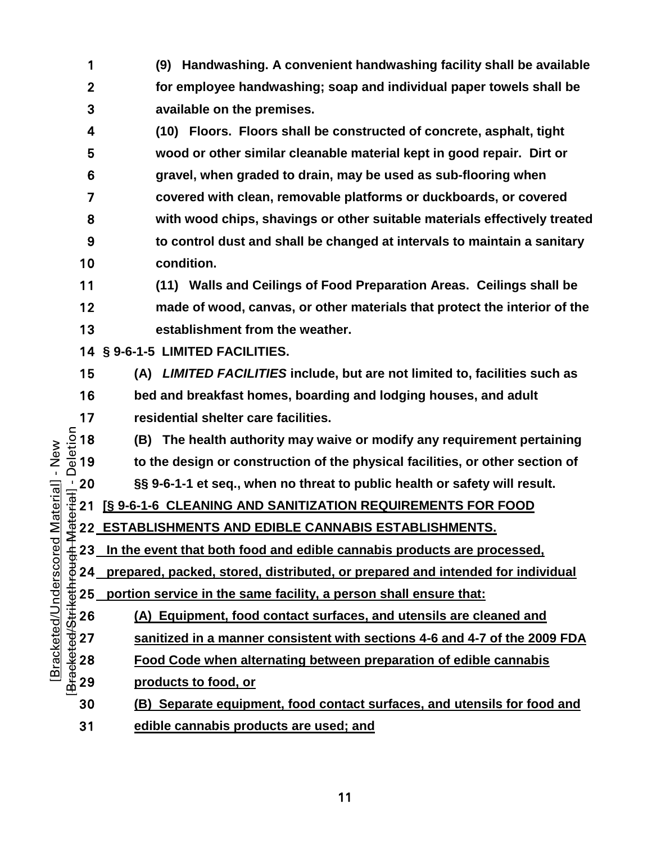- **(9) Handwashing. A convenient handwashing facility shall be available for employee handwashing; soap and individual paper towels shall be available on the premises.**
- **(10) Floors. Floors shall be constructed of concrete, asphalt, tight wood or other similar cleanable material kept in good repair. Dirt or gravel, when graded to drain, may be used as sub-flooring when covered with clean, removable platforms or duckboards, or covered with wood chips, shavings or other suitable materials effectively treated to control dust and shall be changed at intervals to maintain a sanitary condition.**
- **(11) Walls and Ceilings of Food Preparation Areas. Ceilings shall be made of wood, canvas, or other materials that protect the interior of the establishment from the weather.**
- **§ 9-6-1-5 LIMITED FACILITIES.**
- **(A)** *LIMITED FACILITIES* **include, but are not limited to, facilities such as**
- **bed and breakfast homes, boarding and lodging houses, and adult**
- [Bracketed/Strikethrough Material] Deletion 17 residential shelter care facilities.<br>  $\frac{5}{8}$  18 (B) The health authority may wa<br>  $\frac{1}{8}$  19 to the design or construction of t **(B) The health authority may waive or modify any requirement pertaining to the design or construction of the physical facilities, or other section of §§ 9-6-1-1 et seq., when no threat to public health or safety will result.**
	- **[§ 9-6-1-6 CLEANING AND SANITIZATION REQUIREMENTS FOR FOOD**
	- **ESTABLISHMENTS AND EDIBLE CANNABIS ESTABLISHMENTS.**
- **In the event that both food and edible cannabis products are processed,**
- **prepared, packed, stored, distributed, or prepared and intended for individual** 
	-
- <del>25</del> **portion service in the same facility, a person shall ensure that:**<br>
26 **(A)** Equipment, food contact surfaces, and utensils are cle<br>
27 **sanitized in a manner consistent with sections 4-6 and 4-7**<br>
28 **Food Code whe (A) Equipment, food contact surfaces, and utensils are cleaned and sanitized in a manner consistent with sections 4-6 and 4-7 of the 2009 FDA** 
	- **Food Code when alternating between preparation of edible cannabis** 
		- **products to food, or**
	- **(B) Separate equipment, food contact surfaces, and utensils for food and**
	- **edible cannabis products are used; and**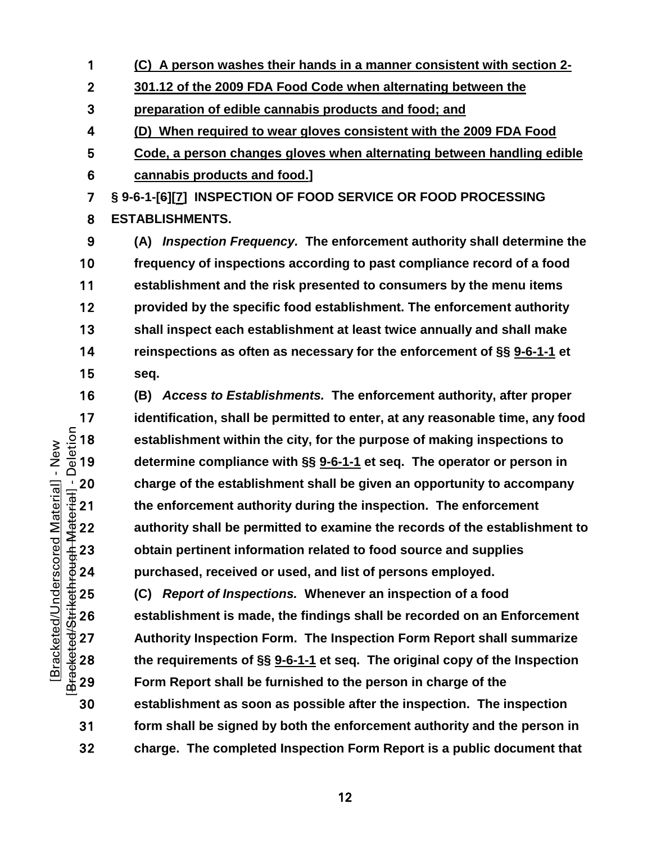- **(C) A person washes their hands in a manner consistent with section 2-**
- **301.12 of the 2009 FDA Food Code when alternating between the**
- **preparation of edible cannabis products and food; and**
- **(D) When required to wear gloves consistent with the 2009 FDA Food**
- **Code, a person changes gloves when alternating between handling edible cannabis products and food.]**
- **§ 9-6-1-[6][7] INSPECTION OF FOOD SERVICE OR FOOD PROCESSING ESTABLISHMENTS.**
- **(A)** *Inspection Frequency.* **The enforcement authority shall determine the frequency of inspections according to past compliance record of a food establishment and the risk presented to consumers by the menu items provided by the specific food establishment. The enforcement authority shall inspect each establishment at least twice annually and shall make reinspections as often as necessary for the enforcement of §§ [9-6-1-1](https://codelibrary.amlegal.com/codes/albuquerque/latest/albuquerque_nm/0-0-0-11482#JD_9-6-1-1) et seq.**
- **(B)** *Access to Establishments.* **The enforcement authority, after proper**  identification, shall be permitted to enter, at any reasonable time, any food<br>  $\frac{5}{2}$  18 establishment within the city, for the purpose of making inspections to<br>  $\frac{5}{4}$  19 determine compliance with §§ <u>9-6-1-1</u> et se **establishment within the city, for the purpose of making inspections to determine compliance with §§ [9-6-1-1](https://codelibrary.amlegal.com/codes/albuquerque/latest/albuquerque_nm/0-0-0-11482#JD_9-6-1-1) et seq. The operator or person in**  20 charge of the establishment shall be given an opportunity to accompany<br>  $\frac{1}{3}$  21 the enforcement authority during the inspection. The enforcement<br>  $\frac{1}{4}$  22 authority shall be permitted to examine the records of **the enforcement authority during the inspection. The enforcement authority shall be permitted to examine the records of the establishment to obtain pertinent information related to food source and supplies purchased, received or used, and list of persons employed.**
- **(C)** *Report of Inspections.* Whenever an inspection of a food establishment is made, the findings shall be recorded on an Energy 27 **Authority Inspection Form.** The Inspection Form Report shall state requirements of § **establishment is made, the findings shall be recorded on an Enforcement Authority Inspection Form. The Inspection Form Report shall summarize the requirements of §§ [9-6-1-1](https://codelibrary.amlegal.com/codes/albuquerque/latest/albuquerque_nm/0-0-0-11482#JD_9-6-1-1) et seq. The original copy of the Inspection**  Form Report shall be furnished to the person in charge of the **establishment as soon as possible after the inspection. The inspection form shall be signed by both the enforcement authority and the person in charge. The completed Inspection Form Report is a public document that**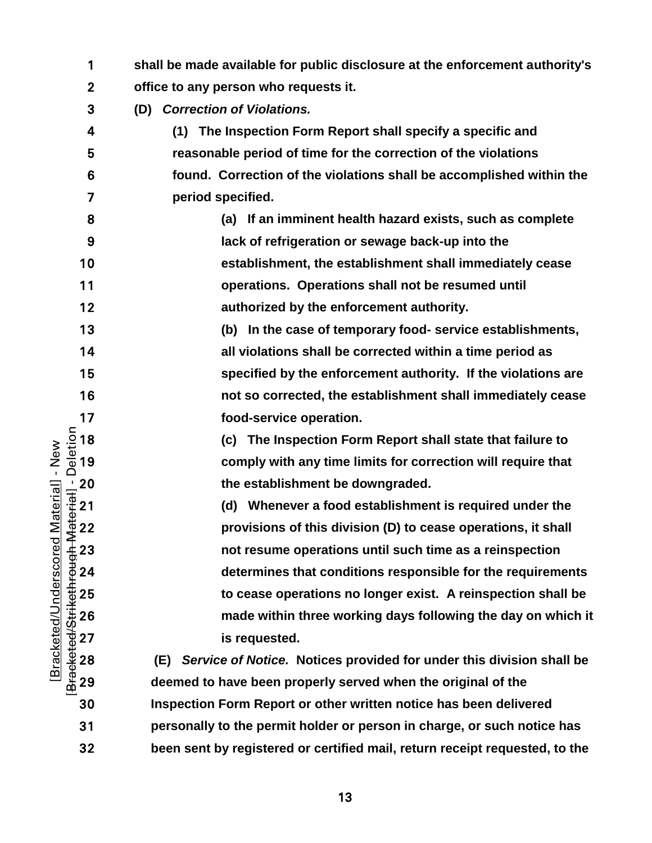| 1                                                                                                            | shall be made available for public disclosure at the enforcement authority's |
|--------------------------------------------------------------------------------------------------------------|------------------------------------------------------------------------------|
| $\boldsymbol{2}$                                                                                             | office to any person who requests it.                                        |
| 3                                                                                                            | <b>Correction of Violations.</b><br>(D)                                      |
| 4                                                                                                            | (1) The Inspection Form Report shall specify a specific and                  |
| 5                                                                                                            | reasonable period of time for the correction of the violations               |
| 6                                                                                                            | found. Correction of the violations shall be accomplished within the         |
| 7                                                                                                            | period specified.                                                            |
| 8                                                                                                            | (a) If an imminent health hazard exists, such as complete                    |
| 9                                                                                                            | lack of refrigeration or sewage back-up into the                             |
| 10                                                                                                           | establishment, the establishment shall immediately cease                     |
| 11                                                                                                           | operations. Operations shall not be resumed until                            |
| 12                                                                                                           | authorized by the enforcement authority.                                     |
| 13                                                                                                           | (b) In the case of temporary food- service establishments,                   |
| 14                                                                                                           | all violations shall be corrected within a time period as                    |
| 15                                                                                                           | specified by the enforcement authority. If the violations are                |
| 16                                                                                                           | not so corrected, the establishment shall immediately cease                  |
| 17                                                                                                           | food-service operation.                                                      |
| $\frac{1}{\omega}$ 18<br>$\frac{1}{\omega}$ 19                                                               | (c) The Inspection Form Report shall state that failure to                   |
|                                                                                                              | comply with any time limits for correction will require that                 |
| Material] - New                                                                                              | the establishment be downgraded.                                             |
| $\frac{1}{\frac{1}{2}}$<br>$\frac{1}{2}$<br>$\frac{1}{2}$<br>$\frac{1}{2}$<br>$\frac{1}{2}$<br>$\frac{1}{2}$ | (d) Whenever a food establishment is required under the                      |
|                                                                                                              | provisions of this division (D) to cease operations, it shall                |
|                                                                                                              | not resume operations until such time as a reinspection                      |
|                                                                                                              | determines that conditions responsible for the requirements                  |
|                                                                                                              | to cease operations no longer exist. A reinspection shall be                 |
| <b>ALESSERIAN 23</b><br>22 25 26 27 28<br>22 22 28 29<br>Bracketed/Underscored                               | made within three working days following the day on which it                 |
|                                                                                                              | is requested.                                                                |
|                                                                                                              | Service of Notice. Notices provided for under this division shall be<br>(E)  |
|                                                                                                              | deemed to have been properly served when the original of the                 |
| 30                                                                                                           | Inspection Form Report or other written notice has been delivered            |
| 31                                                                                                           | personally to the permit holder or person in charge, or such notice has      |
| 32                                                                                                           | been sent by registered or certified mail, return receipt requested, to the  |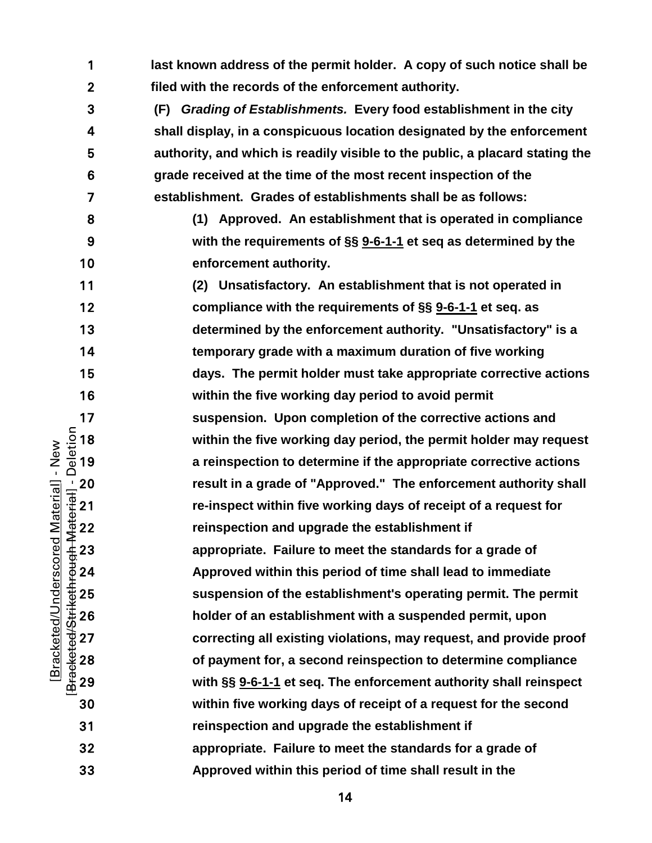[Bracketed/Strikethrough Material] - Deletion **last known address of the permit holder. A copy of such notice shall be filed with the records of the enforcement authority. (F)** *Grading of Establishments.* **Every food establishment in the city shall display, in a conspicuous location designated by the enforcement authority, and which is readily visible to the public, a placard stating the grade received at the time of the most recent inspection of the establishment. Grades of establishments shall be as follows: (1) Approved. An establishment that is operated in compliance with the requirements of §§ [9-6-1-1](https://codelibrary.amlegal.com/codes/albuquerque/latest/albuquerque_nm/0-0-0-11482#JD_9-6-1-1) et seq as determined by the enforcement authority. (2) Unsatisfactory. An establishment that is not operated in compliance with the requirements of §§ [9-6-1-1](https://codelibrary.amlegal.com/codes/albuquerque/latest/albuquerque_nm/0-0-0-11482#JD_9-6-1-1) et seq. as determined by the enforcement authority. "Unsatisfactory" is a temporary grade with a maximum duration of five working days. The permit holder must take appropriate corrective actions within the five working day period to avoid permit**  17 suspension. Upon completion of the corrective actions and  $\frac{5}{2}$  18 within the five working day period, the permit holder may req<br>  $\frac{5}{2}$  19 a reinspection to determine if the appropriate corrective action within the five working day period, the permit holder may request **a reinspection to determine if the appropriate corrective actions**  20 result in a grade of "Approved." The enforcement authority shall<br>
The enforcement authority shall<br>
The enforcement authority shall<br>
The enforcement authority shall<br>
21 re-inspection and upgrade the establishment if<br>
23 **re-inspect within five working days of receipt of a request for**  reinspection and upgrade the establishment if **appropriate. Failure to meet the standards for a grade of Approved within this period of time shall lead to immediate**  25 suspension of the establishment's operating permit. The permit<br>
26 holder of an establishment with a suspended permit, upon<br>
27 correcting all existing violations, may request, and provide proor<br>
28 of payment for, a **holder of an establishment with a suspended permit, upon correcting all existing violations, may request, and provide proof of payment for, a second reinspection to determine compliance with §§ [9-6-1-1](https://codelibrary.amlegal.com/codes/albuquerque/latest/albuquerque_nm/0-0-0-11482#JD_9-6-1-1) et seq. The enforcement authority shall reinspect within five working days of receipt of a request for the second reinspection and upgrade the establishment if appropriate. Failure to meet the standards for a grade of Approved within this period of time shall result in the** 

[Bracketed/Underscored Material] - New

Bracketed/Underscored Material] - New

 $\sim$  14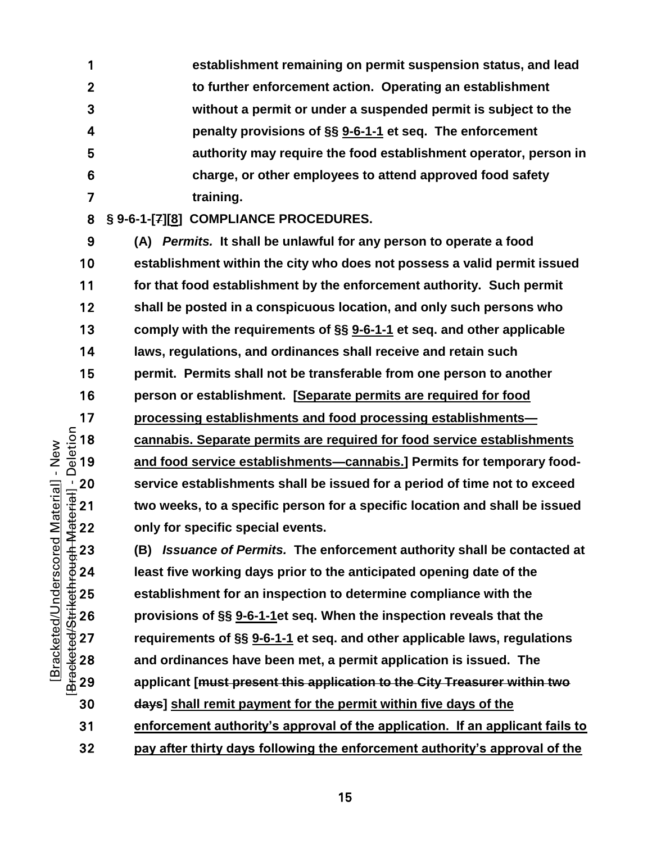**establishment remaining on permit suspension status, and lead to further enforcement action. Operating an establishment without a permit or under a suspended permit is subject to the penalty provisions of §§ [9-6-1-1](https://codelibrary.amlegal.com/codes/albuquerque/latest/albuquerque_nm/0-0-0-11482#JD_9-6-1-1) et seq. The enforcement authority may require the food establishment operator, person in charge, or other employees to attend approved food safety training.**

**§ 9-6-1-[7][8] COMPLIANCE PROCEDURES.**

**(A)** *Permits.* **It shall be unlawful for any person to operate a food establishment within the city who does not possess a valid permit issued for that food establishment by the enforcement authority. Such permit shall be posted in a conspicuous location, and only such persons who comply with the requirements of §§ [9-6-1-1](https://codelibrary.amlegal.com/codes/albuquerque/latest/albuquerque_nm/0-0-0-11482#JD_9-6-1-1) et seq. and other applicable laws, regulations, and ordinances shall receive and retain such permit. Permits shall not be transferable from one person to another person or establishment. [Separate permits are required for food processing establishments and food processing establishments—<br>**  $\frac{5}{2}$  **18 cannabis. Separate permits are required for food service establishments—<br>**  $\frac{5}{2}$  **19 <b>and food service establishments—cannabis.**] Permits for **cannabis. Separate permits are required for food service establishments**  and food service establishments-cannabis.] Permits for temporary food-20 service establishments shall be issued for a period of time not to exceed<br>  $\frac{1}{3}$  21 two weeks, to a specific person for a specific location and shall be issued<br>  $\frac{1}{3}$  22 only for specific special events.<br>  $\frac{1$ **two weeks, to a specific person for a specific location and shall be issued only for specific special events.**

**(B)** *Issuance of Permits.* **The enforcement authority shall be contacted at**  least five working days prior to the anticipated opening date of the establishment for an inspection to determine compliance with the<br>  $\frac{3}{40}$  25 establishment for an inspection to determine compliance with the<br>
provisions of §§ <u>9-6-1-1</u> et seq. and other applicable laws, regular<br>
28 an **provisions of §§ [9-6-1-1e](https://codelibrary.amlegal.com/codes/albuquerque/latest/albuquerque_nm/0-0-0-11482#JD_9-6-1-1)t seq. When the inspection reveals that the requirements of §§ [9-6-1-1](https://codelibrary.amlegal.com/codes/albuquerque/latest/albuquerque_nm/0-0-0-11482#JD_9-6-1-1) et seq. and other applicable laws, regulations and ordinances have been met, a permit application is issued. The applicant [must present this application to the City Treasurer within two days] shall remit payment for the permit within five days of the enforcement authority's approval of the application. If an applicant fails to** 

**pay after thirty days following the enforcement authority's approval of the**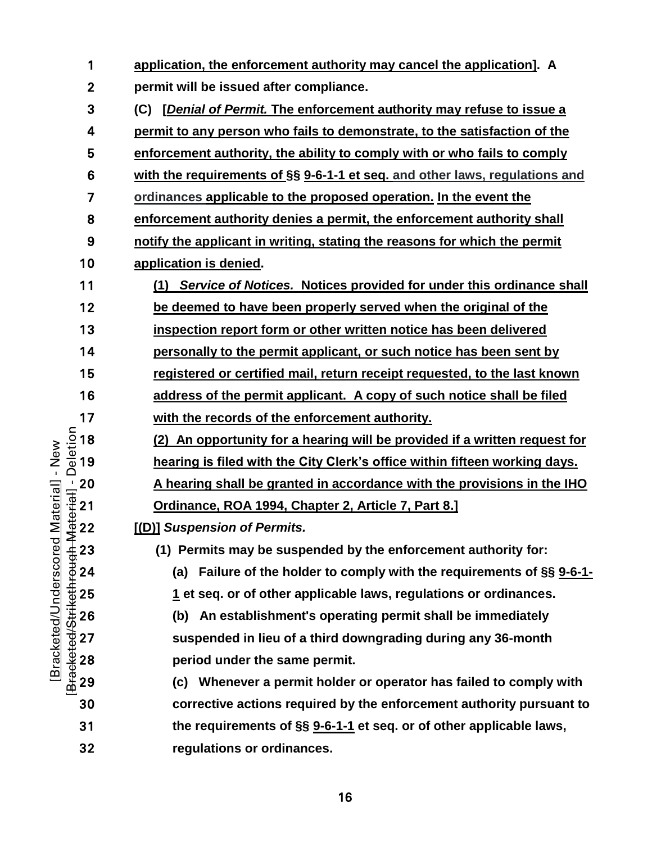| 1            | application, the enforcement authority may cancel the application]. A               |
|--------------|-------------------------------------------------------------------------------------|
| $\mathbf{2}$ | permit will be issued after compliance.                                             |
| 3            | [Denial of Permit. The enforcement authority may refuse to issue a<br>(C)           |
| 4            | permit to any person who fails to demonstrate, to the satisfaction of the           |
| 5            | enforcement authority, the ability to comply with or who fails to comply            |
| 6            | with the requirements of §§ 9-6-1-1 et seq. and other laws, regulations and         |
| 7            | ordinances applicable to the proposed operation. In the event the                   |
| 8            | enforcement authority denies a permit, the enforcement authority shall              |
| 9            | notify the applicant in writing, stating the reasons for which the permit           |
| 10           | application is denied.                                                              |
| 11           | Service of Notices. Notices provided for under this ordinance shall<br>(1)          |
| 12           | be deemed to have been properly served when the original of the                     |
| 13           | inspection report form or other written notice has been delivered                   |
| 14           | personally to the permit applicant, or such notice has been sent by                 |
| 15           | registered or certified mail, return receipt requested, to the last known           |
| 16           | address of the permit applicant. A copy of such notice shall be filed               |
| 17           | with the records of the enforcement authority.                                      |
| 18           | (2) An opportunity for a hearing will be provided if a written request for          |
| 19           | hearing is filed with the City Clerk's office within fifteen working days.          |
|              | A hearing shall be granted in accordance with the provisions in the IHO             |
|              | Ordinance, ROA 1994, Chapter 2, Article 7, Part 8.]                                 |
|              | [(D)] Suspension of Permits.                                                        |
|              | (1) Permits may be suspended by the enforcement authority for:                      |
|              | Failure of the holder to comply with the requirements of §§ 9-6-1-<br>(a)           |
|              | 1 et seq. or of other applicable laws, regulations or ordinances.                   |
|              | (b) An establishment's operating permit shall be immediately                        |
|              | suspended in lieu of a third downgrading during any 36-month                        |
|              | period under the same permit.                                                       |
|              | (c) Whenever a permit holder or operator has failed to comply with                  |
| 30           | corrective actions required by the enforcement authority pursuant to                |
| 31           | the requirements of §§ 9-6-1-1 et seq. or of other applicable laws,                 |
| 32           | regulations or ordinances.                                                          |
|              | Deletion<br>-<br>BracketedStrikethreugh-Material<br>2 2 2 3 3 4 5 6 7 8 9 9 9 8 9 1 |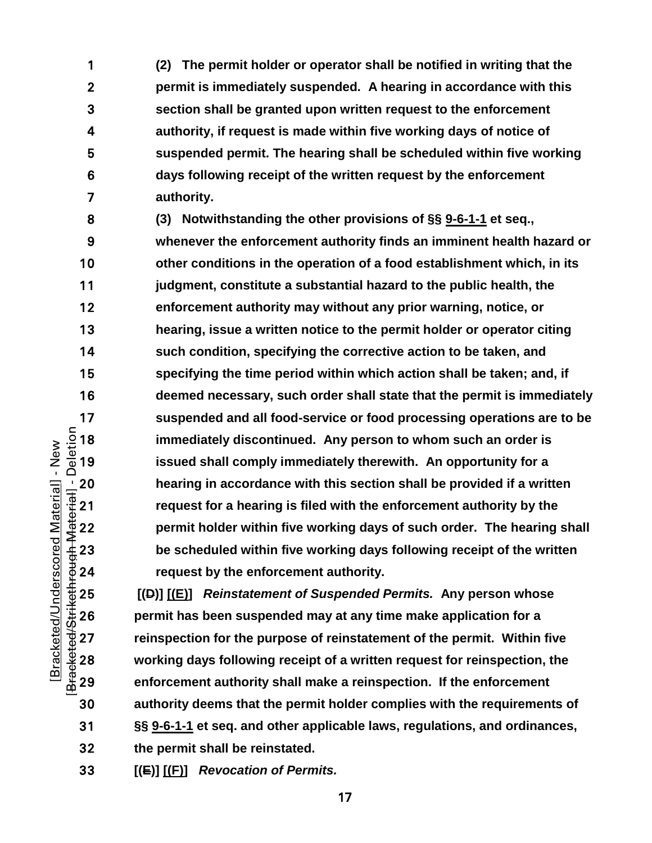**(2) The permit holder or operator shall be notified in writing that the permit is immediately suspended. A hearing in accordance with this section shall be granted upon written request to the enforcement authority, if request is made within five working days of notice of suspended permit. The hearing shall be scheduled within five working days following receipt of the written request by the enforcement authority.**

**(3) Notwithstanding the other provisions of §§ [9-6-1-1](https://codelibrary.amlegal.com/codes/albuquerque/latest/albuquerque_nm/0-0-0-11482#JD_9-6-1-1) et seq., whenever the enforcement authority finds an imminent health hazard or other conditions in the operation of a food establishment which, in its judgment, constitute a substantial hazard to the public health, the enforcement authority may without any prior warning, notice, or hearing, issue a written notice to the permit holder or operator citing such condition, specifying the corrective action to be taken, and specifying the time period within which action shall be taken; and, if deemed necessary, such order shall state that the permit is immediately**  17 suspended and all food-service or food processing operations are to be<br>  $\frac{5}{9}$  18 immediately discontinued. Any person to whom such an order is<br>  $\frac{5}{9}$  19 issued shall comply immediately therewith. An opportunity **immediately discontinued. Any person to whom such an order is issued shall comply immediately therewith. An opportunity for a**  20 hearing in accordance with this section shall be provided if a written<br>  $\frac{1}{2}$  21 request for a hearing is filed with the enforcement authority by the<br>
permit holder within five working days of such order. The heari **request for a hearing is filed with the enforcement authority by the permit holder within five working days of such order. The hearing shall be scheduled within five working days following receipt of the written**  request by the enforcement authority.

**[(D)]** <u>[(E)</u>] *Reinstatement of Suspended Permits.* Any person whose<br>  $\frac{4}{30}$  26 **permit has been suspended may at any time make application for a**<br>
27 reinspection for the purpose of reinstatement of the permit. W **permit has been suspended may at any time make application for a reinspection for the purpose of reinstatement of the permit. Within five working days following receipt of a written request for reinspection, the enforcement authority shall make a reinspection. If the enforcement authority deems that the permit holder complies with the requirements of §§ [9-6-1-1](https://codelibrary.amlegal.com/codes/albuquerque/latest/albuquerque_nm/0-0-0-11482#JD_9-6-1-1) et seq. and other applicable laws, regulations, and ordinances, the permit shall be reinstated.**

**[(E)] [(F)]** *Revocation of Permits.*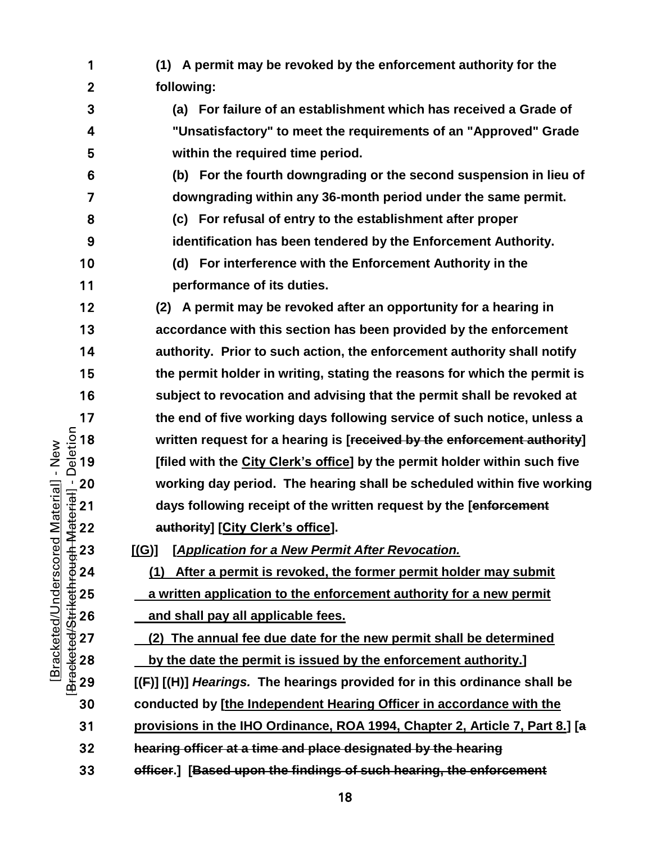- **(1) A permit may be revoked by the enforcement authority for the following:**
- **(a) For failure of an establishment which has received a Grade of "Unsatisfactory" to meet the requirements of an "Approved" Grade within the required time period.**
- **(b) For the fourth downgrading or the second suspension in lieu of downgrading within any 36-month period under the same permit.**
- **(c) For refusal of entry to the establishment after proper**
- **identification has been tendered by the Enforcement Authority.**
- **(d) For interference with the Enforcement Authority in the performance of its duties.**

**(2) A permit may be revoked after an opportunity for a hearing in accordance with this section has been provided by the enforcement authority. Prior to such action, the enforcement authority shall notify the permit holder in writing, stating the reasons for which the permit is subject to revocation and advising that the permit shall be revoked at**  the end of five working days following service of such notice, unless a<br>  $\frac{5}{2}$  18 written request for a hearing is [<del>received by the enforcement authority]</del><br>
The service of such notice, unless a<br>  $\frac{5}{2}$  19 [filed wi **written request for a hearing is [received by the enforcement authority] [filed with the City Clerk's office] by the permit holder within such five**  working day period. The hearing shall be scheduled within five working<br>  $\frac{1}{3}$  21 days following receipt of the written request by the [enforcement<br>  $\frac{1}{3}$  22 authority] [City Clerk's office].<br>
∴<br>
423 [(G)] [Ap **days following receipt of the written request by the [enforcement**  authority] [City Clerk's office].

**[(G)] [***Application for a New Permit After Revocation.* 

**(1) After a permit is revoked, the former permit holder may submit**  <del>25</del><br>
25 **a written application to the enforcement authority for a new permit**<br>
26 **and shall pay all applicable fees.**<br>
27 **(2) The annual fee due date for the new permit shall be determined<br>
28 <b>by the date the permit i** and shall pay all applicable fees.

**(2) The annual fee due date for the new permit shall be determined** 

by the date the permit is issued by the enforcement authority.]

**[(F)] [(H)]** *Hearings.* **The hearings provided for in this ordinance shall be** 

- **conducted by [the Independent Hearing Officer in accordance with the**
- **provisions in the IHO Ordinance, ROA 1994, Chapter 2, Article 7, Part 8.] [a**
- **hearing officer at a time and place designated by the hearing**
- **officer.] [Based upon the findings of such hearing, the enforcement**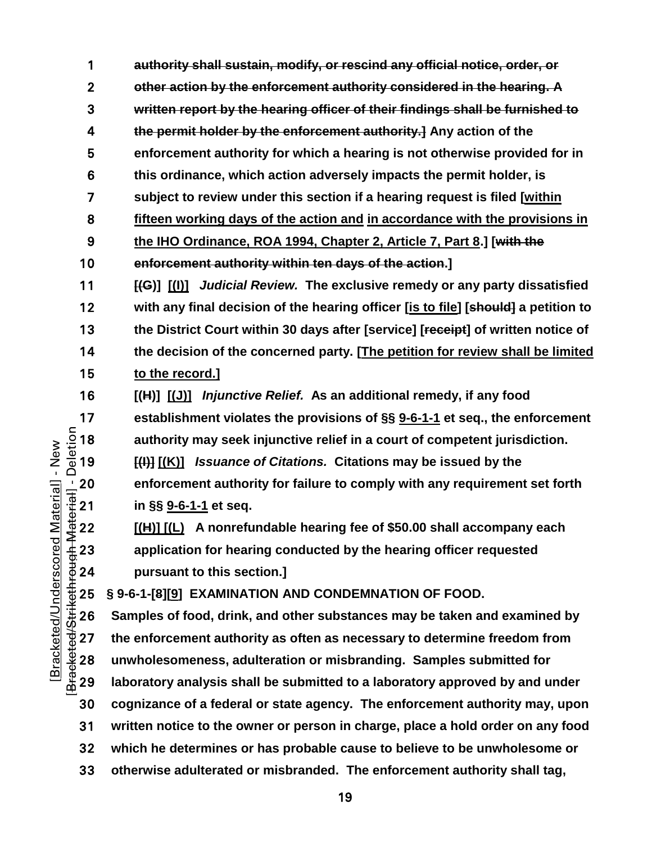**authority shall sustain, modify, or rescind any official notice, order, or other action by the enforcement authority considered in the hearing. A written report by the hearing officer of their findings shall be furnished to the permit holder by the enforcement authority.] Any action of the enforcement authority for which a hearing is not otherwise provided for in this ordinance, which action adversely impacts the permit holder, is subject to review under this section if a hearing request is filed [within fifteen working days of the action and in accordance with the provisions in the IHO Ordinance, ROA 1994, Chapter 2, Article 7, Part 8.] [with the enforcement authority within ten days of the action.] [(G)] [(I)]** *Judicial Review.* **The exclusive remedy or any party dissatisfied with any final decision of the hearing officer [is to file] [should] a petition to the District Court within 30 days after [service] [receipt] of written notice of the decision of the concerned party. [The petition for review shall be limited to the record.] [(H)] [(J)]** *Injunctive Relief.* **As an additional remedy, if any food establishment violates the provisions of §§** [9-6-1-1](https://codelibrary.amlegal.com/codes/albuquerque/latest/albuquerque_nm/0-0-0-11482#JD_9-6-1-1) et seq., the enforcement<br>  $\frac{5}{4}$  18 authority may seek injunctive relief in a court of competent jurisdiction.<br>  $\frac{6}{4}$  19 [<del>(l)]</del> [(K)] *Issuance of Citations.* authority may seek injunctive relief in a court of competent jurisdiction. **[(I)] [(K)]** *Issuance of Citations.* **Citations may be issued by the**  enforcement authority for failure to comply with any requirement set forth<br>  $\frac{1}{3}$  21 in §§ <u>9-6-1-1</u> et seq.<br>
<u>4</u> 22 [(<u>H)] [(L)</u> A nonrefundable hearing fee of \$50.00 shall accompany each<br>
4 23 application for heari **in §§ [9-6-1-1](https://codelibrary.amlegal.com/codes/albuquerque/latest/albuquerque_nm/0-0-0-11482#JD_9-6-1-1) et seq. [(H)] [(L) A nonrefundable hearing fee of \$50.00 shall accompany each application for hearing conducted by the hearing officer requested pursuant to this section.]**  $+6000 + 25$ ∴25 § 9-6-1-[8][9] EXAMINATION AND CONDEMNATION OF FOOD.<br>
∴26 Samples of food, drink, and other substances may be taken are<br>
27 the enforcement authority as often as necessary to determine<br>
28 unwholesomeness, **Samples of food, drink, and other substances may be taken and examined by the enforcement authority as often as necessary to determine freedom from unwholesomeness, adulteration or misbranding. Samples submitted for laboratory analysis shall be submitted to a laboratory approved by and under cognizance of a federal or state agency. The enforcement authority may, upon** 

**written notice to the owner or person in charge, place a hold order on any food** 

**which he determines or has probable cause to believe to be unwholesome or** 

**otherwise adulterated or misbranded. The enforcement authority shall tag,**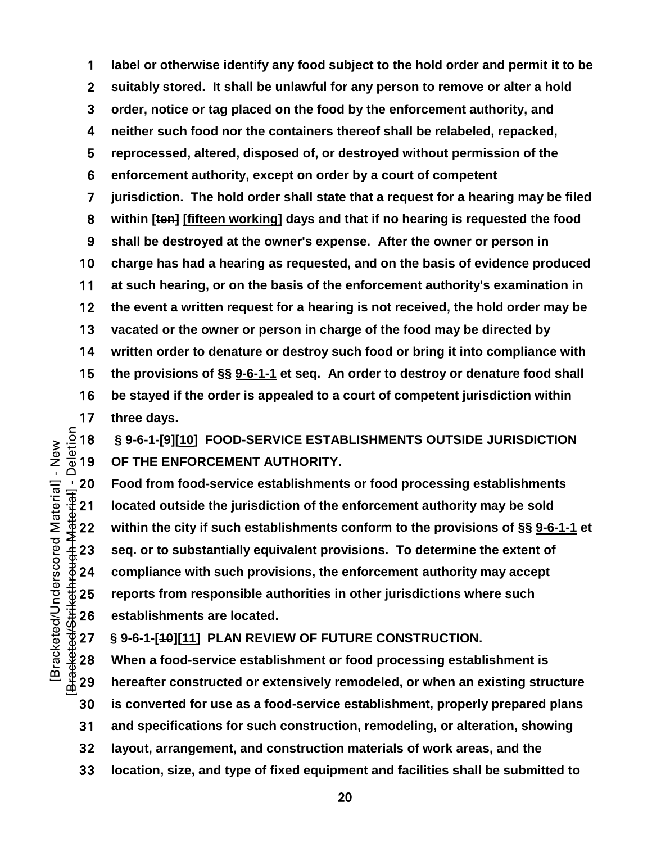**label or otherwise identify any food subject to the hold order and permit it to be suitably stored. It shall be unlawful for any person to remove or alter a hold order, notice or tag placed on the food by the enforcement authority, and neither such food nor the containers thereof shall be relabeled, repacked, reprocessed, altered, disposed of, or destroyed without permission of the enforcement authority, except on order by a court of competent jurisdiction. The hold order shall state that a request for a hearing may be filed within [ten] [fifteen working] days and that if no hearing is requested the food shall be destroyed at the owner's expense. After the owner or person in charge has had a hearing as requested, and on the basis of evidence produced at such hearing, or on the basis of the enforcement authority's examination in the event a written request for a hearing is not received, the hold order may be vacated or the owner or person in charge of the food may be directed by written order to denature or destroy such food or bring it into compliance with the provisions of §§ [9-6-1-1](https://codelibrary.amlegal.com/codes/albuquerque/latest/albuquerque_nm/0-0-0-11482#JD_9-6-1-1) et seq. An order to destroy or denature food shall be stayed if the order is appealed to a court of competent jurisdiction within** 

17 three days.<br> $=$   $\frac{5}{9}$  18 § 9-6-1-[9][1]<br> $=$   $\frac{6}{9}$  19 OF THE ENI **§ 9-6-1-[9][10] FOOD-SERVICE ESTABLISHMENTS OUTSIDE JURISDICTION OF THE ENFORCEMENT AUTHORITY.**

20 Food from food-service establishments or food processing establishments<br>  $\frac{1}{3}$  and located outside the jurisdiction of the enforcement authority may be sold<br>
22 within the city if such establishments conform to the located outside the jurisdiction of the enforcement authority may be sold **within the city if such establishments conform to the provisions of §§ [9-6-1-1](https://codelibrary.amlegal.com/codes/albuquerque/latest/albuquerque_nm/0-0-0-11482#JD_9-6-1-1) et seq. or to substantially equivalent provisions. To determine the extent of compliance with such provisions, the enforcement authority may accept**  <del>1</del><br>
25 **reports from responsible authorities in other jurisdictions where such<br>
26** establishments are located.<br>
27 § 9-6-1-[40][11] PLAN REVIEW OF FUTURE CONSTRUCTION.<br>
28 When a food-service establishment or food proce establishments are located.

**§ 9-6-1-[10][11] PLAN REVIEW OF FUTURE CONSTRUCTION.**

**When a food-service establishment or food processing establishment is hereafter constructed or extensively remodeled, or when an existing structure is converted for use as a food-service establishment, properly prepared plans and specifications for such construction, remodeling, or alteration, showing layout, arrangement, and construction materials of work areas, and the** 

**location, size, and type of fixed equipment and facilities shall be submitted to**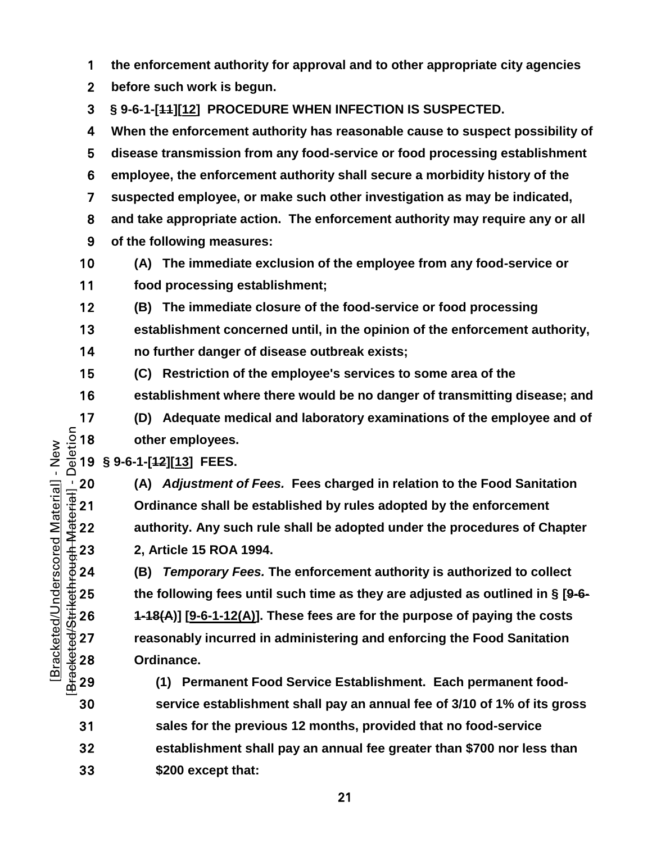**the enforcement authority for approval and to other appropriate city agencies** 

**before such work is begun.**

**§ 9-6-1-[11][12] PROCEDURE WHEN INFECTION IS SUSPECTED.**

**When the enforcement authority has reasonable cause to suspect possibility of disease transmission from any food-service or food processing establishment employee, the enforcement authority shall secure a morbidity history of the suspected employee, or make such other investigation as may be indicated, and take appropriate action. The enforcement authority may require any or all of the following measures: (A) The immediate exclusion of the employee from any food-service or** 

- **food processing establishment;**
- **(B) The immediate closure of the food-service or food processing**
- **establishment concerned until, in the opinion of the enforcement authority,**
- **no further danger of disease outbreak exists;**
- **(C) Restriction of the employee's services to some area of the**
- **establishment where there would be no danger of transmitting disease; and**
- **(D) Adequate medical and laboratory examinations of the employee and of other employees.**

## **§ 9-6-1-[12][13] FEES.**

<sup>1</sup>/<sub>1</sub> 20 (A) *Adjustment of Fees.* Fees charged in relation to the Food Sanitation<br>
∴<br>
21 Ordinance shall be established by rules adopted by the enforcement<br>
authority. Any such rule shall be adopted under the procedure **Ordinance shall be established by rules adopted by the enforcement authority. Any such rule shall be adopted under the procedures of Chapter 2, Article 15 ROA 1994.**

**(B)** *Temporary Fees.* **The enforcement authority is authorized to collect**  the following fees until such time as they are adjusted as outlined in § [<del>9-6-<br>  $\begin{array}{l}\n\text{#}25 \text{ } \text{#}26 \text{ } \text{#}4\text{-}48(A)] \text{ [}9\text{-}6\text{-}1\text{-}12(A)]\text{.} \text{ These fees are for the purpose of paying the costs} \\
\text{#}27 \text{ } \text{reasonably incurred in administrativeing and enforcing the Food Sanitation} \\
\text{Ordinance.} \text{ 29} \text{ } \text{#$ **1-18(A)] [9-6-1-12(A)]. These fees are for the purpose of paying the costs reasonably incurred in administering and enforcing the Food Sanitation Ordinance.** 

**(1) Permanent Food Service Establishment. Each permanent food-service establishment shall pay an annual fee of 3/10 of 1% of its gross sales for the previous 12 months, provided that no food-service establishment shall pay an annual fee greater than \$700 nor less than \$200 except that:**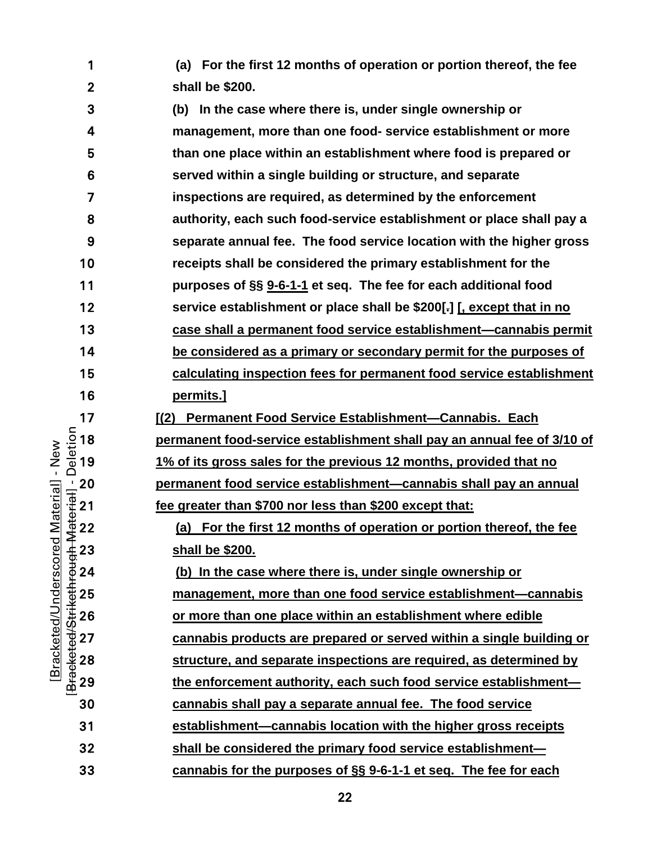**(a) For the first 12 months of operation or portion thereof, the fee shall be \$200.**

**(b) In the case where there is, under single ownership or management, more than one food- service establishment or more than one place within an establishment where food is prepared or served within a single building or structure, and separate inspections are required, as determined by the enforcement authority, each such food-service establishment or place shall pay a separate annual fee. The food service location with the higher gross receipts shall be considered the primary establishment for the purposes of §§ [9-6-1-1](https://codelibrary.amlegal.com/codes/albuquerque/latest/albuquerque_nm/0-0-0-11482#JD_9-6-1-1) et seq. The fee for each additional food service establishment or place shall be \$200[.] [, except that in no case shall a permanent food service establishment—cannabis permit be considered as a primary or secondary permit for the purposes of calculating inspection fees for permanent food service establishment permits.] a [(2) Permanent Food Service Establishment—Cannabis. Each <b>permanent food-service establishment shall pay an annual fee o**<br>  $\frac{5}{9}$  19 **1% of its gross sales for the previous 12 months, provided that in all pay an permanent food-service establishment shall pay an annual fee of 3/10 of 1% of its gross sales for the previous 12 months, provided that no**  <u>20 **permanent food service establishment—cannabis** shall pay an annual<br>
The greater than \$700 nor less than \$200 except that:<br>  $\frac{4}{3}$  22 (a) For the first 12 months of operation or portion thereof, the fee<br>  $\frac{4}{3}$  </u> **fee greater than \$700 nor less than \$200 except that:** (a) For the first 12 months of operation or portion thereof, the fee **shall be \$200. (b) In the case where there is, under single ownership or management, more than one food service establishment—cannabis**<br>
26 **or more than one place within an establishment where edible<br>
27 <b>cannabis products are prepared or served within a single building or**<br>
28 **structur or more than one place within an establishment where edible cannabis products are prepared or served within a single building or structure, and separate inspections are required, as determined by the enforcement authority, each such food service establishment— cannabis shall pay a separate annual fee. The food service establishment—cannabis location with the higher gross receipts shall be considered the primary food service establishment—**

[Bracketed/Strikethrough Material] - Deletion Bracketed/Underscored Material] - New [Bracketed/Underscored Material] - New

<u>22</u>

**cannabis for the purposes of §§ [9-6-1-1](https://codelibrary.amlegal.com/codes/albuquerque/latest/albuquerque_nm/0-0-0-11482#JD_9-6-1-1) et seq. The fee for each**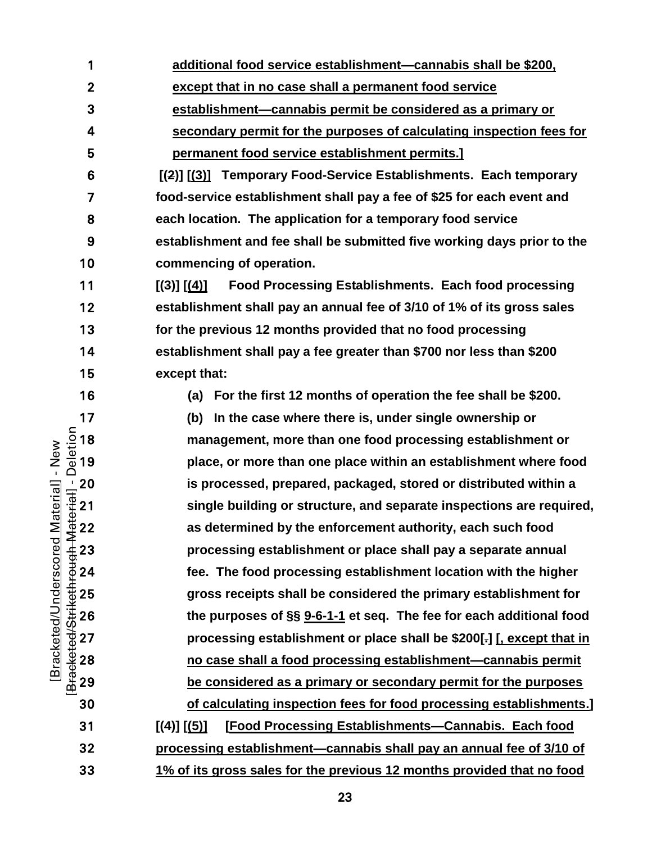**additional food service establishment—cannabis shall be \$200,** 

**except that in no case shall a permanent food service** 

**establishment—cannabis permit be considered as a primary or** 

**secondary permit for the purposes of calculating inspection fees for permanent food service establishment permits.]**

**[(2)] [(3)] Temporary Food-Service Establishments. Each temporary food-service establishment shall pay a fee of \$25 for each event and each location. The application for a temporary food service establishment and fee shall be submitted five working days prior to the commencing of operation.**

**[(3)] [(4)] Food Processing Establishments. Each food processing establishment shall pay an annual fee of 3/10 of 1% of its gross sales for the previous 12 months provided that no food processing establishment shall pay a fee greater than \$700 nor less than \$200 except that:**

[Bracketed/Underscored Material] - New [Bracketed/Strikethrough Material] - Deletion

Bracketed/Underscored Material] - New

**(a) For the first 12 months of operation the fee shall be \$200.**

17 (b) In the case where there is, under single ownership or<br>  $\frac{5}{2}$  18 management, more than one food processing establishme<br>  $\frac{5}{2}$  19 place, or more than one place within an establishment who management, more than one food processing establishment or **place, or more than one place within an establishment where food**  <u>a</u> 20 is processed, prepared, packaged, stored or distributed within a<br>  $\frac{1}{3}$  21 single building or structure, and separate inspections are require<br>  $\frac{1}{4}$  22 as determined by the enforcement authority, each such **single building or structure, and separate inspections are required,**  as determined by the enforcement authority, each such food **processing establishment or place shall pay a separate annual fee. The food processing establishment location with the higher**  25 gross receipts shall be considered the primary establishment for<br>
<sup>22</sup> 26 the purposes of §§ <u>9-6-1-1</u> et seq. The fee for each additional foot<br>
27 processing establishment or place shall be \$200[-] <u>[, except that in</u> **the purposes of §§ [9-6-1-1](https://codelibrary.amlegal.com/codes/albuquerque/latest/albuquerque_nm/0-0-0-11482#JD_9-6-1-1) et seq. The fee for each additional food processing establishment or place shall be \$200[.] [, except that in no case shall a food processing establishment—cannabis permit be considered as a primary or secondary permit for the purposes of calculating inspection fees for food processing establishments.]**

**[(4)] [(5)] [Food Processing Establishments—Cannabis. Each food processing establishment—cannabis shall pay an annual fee of 3/10 of 1% of its gross sales for the previous 12 months provided that no food** 

<u>23</u>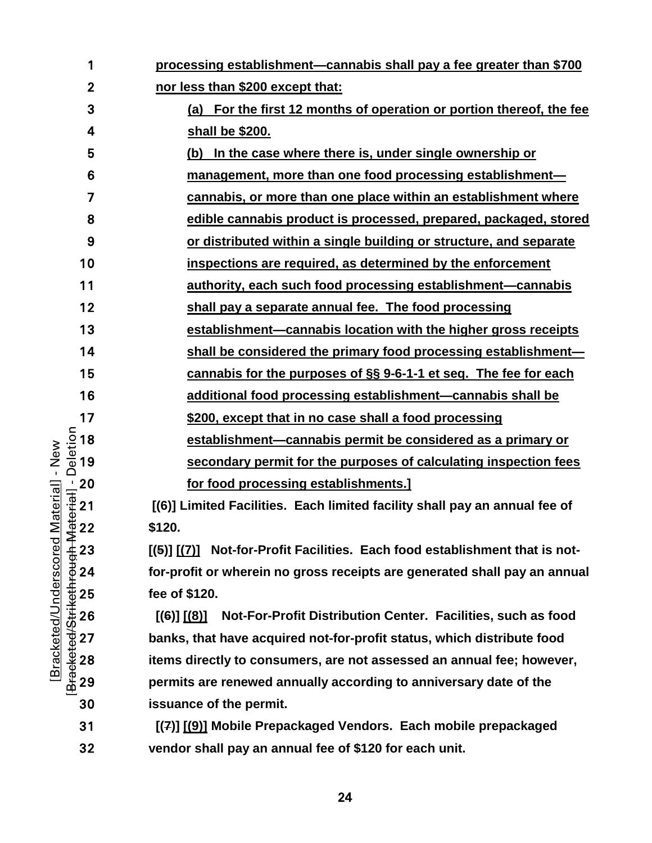| 1            | processing establishment-cannabis shall pay a fee greater than \$700            |
|--------------|---------------------------------------------------------------------------------|
| $\mathbf{2}$ | nor less than \$200 except that:                                                |
| 3            | (a) For the first 12 months of operation or portion thereof, the fee            |
| 4            | shall be \$200.                                                                 |
| 5            | In the case where there is, under single ownership or<br>(b)                    |
| 6            | management, more than one food processing establishment-                        |
| 7            | cannabis, or more than one place within an establishment where                  |
| 8            | edible cannabis product is processed, prepared, packaged, stored                |
| 9            | or distributed within a single building or structure, and separate              |
| 10           | inspections are required, as determined by the enforcement                      |
| 11           | authority, each such food processing establishment—cannabis                     |
| 12           | shall pay a separate annual fee. The food processing                            |
| 13           | establishment—cannabis location with the higher gross receipts                  |
| 14           | shall be considered the primary food processing establishment-                  |
| 15           | cannabis for the purposes of §§ 9-6-1-1 et seq. The fee for each                |
| 16           | additional food processing establishment-cannabis shall be                      |
| 17           | \$200, except that in no case shall a food processing                           |
| 18           | establishment—cannabis permit be considered as a primary or                     |
| 19           | secondary permit for the purposes of calculating inspection fees                |
| 20           | for food processing establishments.]                                            |
| 21           | [(6)] Limited Facilities. Each limited facility shall pay an annual fee of      |
| 22           | \$120.                                                                          |
| 23           | [(5)] [(7)] Not-for-Profit Facilities. Each food establishment that is not-     |
| 24           | for-profit or wherein no gross receipts are generated shall pay an annual       |
| 25           | fee of \$120.                                                                   |
| 26           | Not-For-Profit Distribution Center. Facilities, such as food<br>$[(6)]$ $[(8)]$ |
| 27           | banks, that have acquired not-for-profit status, which distribute food          |
| 28           | items directly to consumers, are not assessed an annual fee; however,           |
| 29           | permits are renewed annually according to anniversary date of the               |
| 30           | issuance of the permit.                                                         |
| $\sim$       | <b>E(7)1 F(6)1 Mehile Desceptions J. Vendere Feek mehil</b>                     |

**[(7)] [(9)] Mobile Prepackaged Vendors. Each mobile prepackaged vendor shall pay an annual fee of \$120 for each unit.**

[Bracketed/Strikethrough Material] - Deletion [Bracketed/Strikethrough Material] - Deletion [Bracketed/Underscored Material] - New [Bracketed/Underscored Material] - New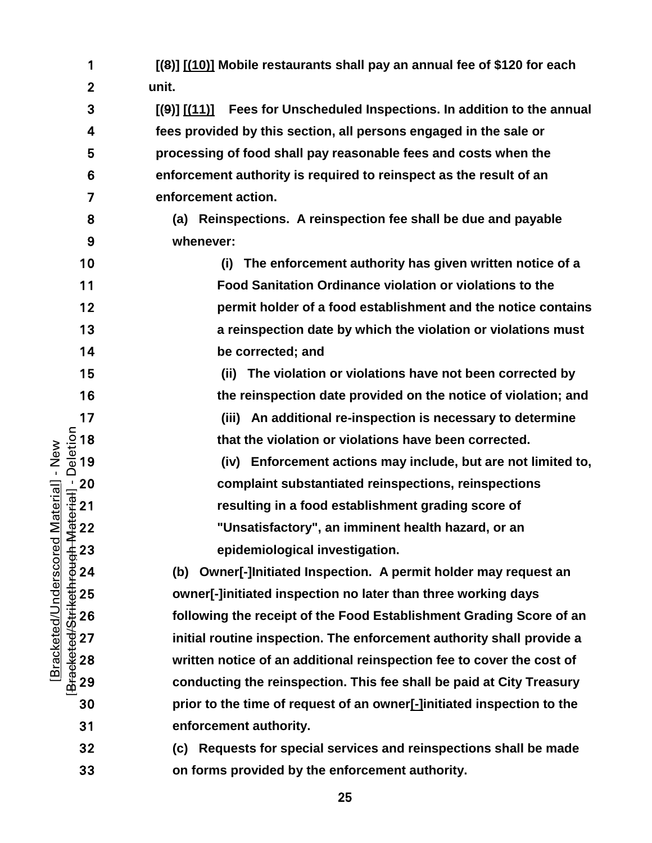|                              | 1                                                            | [(8)] [(10)] Mobile restaurants shall pay an annual fee of \$120 for each       |
|------------------------------|--------------------------------------------------------------|---------------------------------------------------------------------------------|
|                              | $\mathbf{2}$                                                 | unit.                                                                           |
|                              | 3                                                            | Fees for Unscheduled Inspections. In addition to the annual<br>$[(9)]$ $[(11)]$ |
|                              | 4                                                            | fees provided by this section, all persons engaged in the sale or               |
|                              | 5                                                            | processing of food shall pay reasonable fees and costs when the                 |
|                              | 6                                                            | enforcement authority is required to reinspect as the result of an              |
|                              | 7                                                            | enforcement action.                                                             |
|                              | 8                                                            | Reinspections. A reinspection fee shall be due and payable<br>(a)               |
|                              | 9                                                            | whenever:                                                                       |
|                              | 10                                                           | The enforcement authority has given written notice of a<br>(i)                  |
|                              | 11                                                           | <b>Food Sanitation Ordinance violation or violations to the</b>                 |
|                              | 12                                                           | permit holder of a food establishment and the notice contains                   |
|                              | 13                                                           | a reinspection date by which the violation or violations must                   |
|                              | 14                                                           | be corrected; and                                                               |
|                              | 15                                                           | (ii) The violation or violations have not been corrected by                     |
|                              | 16                                                           | the reinspection date provided on the notice of violation; and                  |
|                              | 17                                                           | (iii) An additional re-inspection is necessary to determine                     |
|                              | 18                                                           | that the violation or violations have been corrected.                           |
| New<br>$\mathbf{I}$          | Deletion<br>19                                               | (iv) Enforcement actions may include, but are not limited to,                   |
|                              | $\frac{1}{4}$ = 20<br>$\frac{1}{4}$ = 21<br>$\frac{1}{4}$ 22 | complaint substantiated reinspections, reinspections                            |
| <b>Material</b>              |                                                              | resulting in a food establishment grading score of                              |
|                              |                                                              | "Unsatisfactory", an imminent health hazard, or an                              |
| <b>Bracketed/Underscored</b> | Bracketed/Strikethrough-N<br>23                              | epidemiological investigation.                                                  |
|                              | 24                                                           | Owner[-]Initiated Inspection. A permit holder may request an<br>(b)             |
|                              | 25                                                           | owner[-]initiated inspection no later than three working days                   |
|                              | 26                                                           | following the receipt of the Food Establishment Grading Score of an             |
|                              | 27                                                           | initial routine inspection. The enforcement authority shall provide a           |
|                              | 28                                                           | written notice of an additional reinspection fee to cover the cost of           |
|                              | 29                                                           | conducting the reinspection. This fee shall be paid at City Treasury            |
|                              | 30                                                           | prior to the time of request of an owner[-]initiated inspection to the          |
|                              | 31                                                           | enforcement authority.                                                          |
|                              | 32                                                           | Requests for special services and reinspections shall be made<br>(c)            |
|                              | 33                                                           | on forms provided by the enforcement authority.                                 |

 $\sim$  25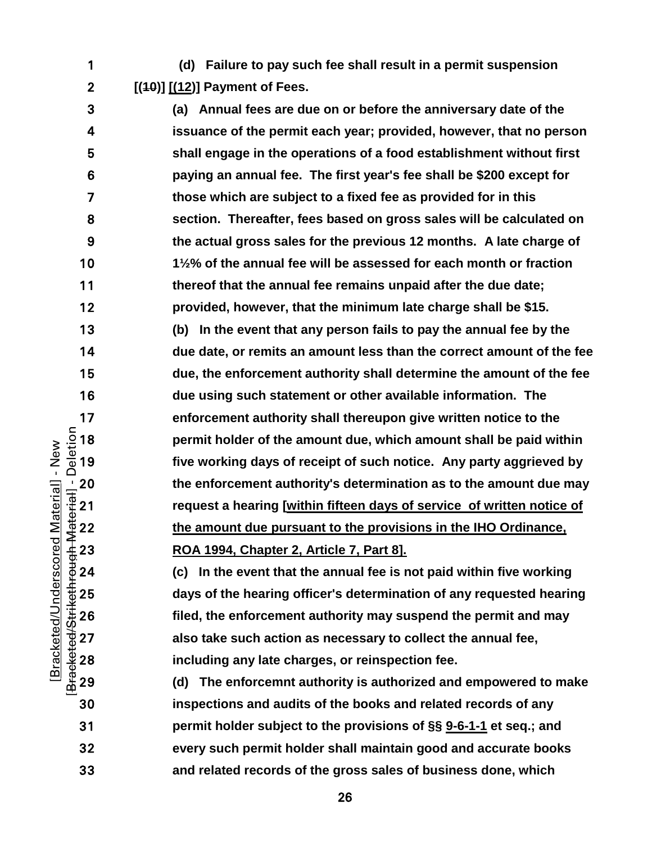**(d) Failure to pay such fee shall result in a permit suspension [(10)] [(12)] Payment of Fees.**

**(a) Annual fees are due on or before the anniversary date of the issuance of the permit each year; provided, however, that no person shall engage in the operations of a food establishment without first paying an annual fee. The first year's fee shall be \$200 except for those which are subject to a fixed fee as provided for in this section. Thereafter, fees based on gross sales will be calculated on the actual gross sales for the previous 12 months. A late charge of 1½% of the annual fee will be assessed for each month or fraction thereof that the annual fee remains unpaid after the due date; provided, however, that the minimum late charge shall be \$15. (b) In the event that any person fails to pay the annual fee by the due date, or remits an amount less than the correct amount of the fee due, the enforcement authority shall determine the amount of the fee due using such statement or other available information. The**  17 enforcement authority shall thereupon give written notice to the<br>  $\frac{5}{2}$  18 permit holder of the amount due, which amount shall be paid wit<br>  $\frac{5}{4}$  19 five working days of receipt of such notice. Any party aggriev **permit holder of the amount due, which amount shall be paid within**  five working days of receipt of such notice. Any party aggrieved by 20 the enforcement authority's determination as to the amount due may<br>  $\frac{1}{10}$  request a hearing <u>[within fifteen days of service of written notice of</u><br>  $\frac{1}{2}$  22 the amount due pursuant to the provisions in the IHO **request a hearing [within fifteen days of service of written notice of the amount due pursuant to the provisions in the IHO Ordinance, ROA 1994, Chapter 2, Article 7, Part 8].**

**(c) In the event that the annual fee is not paid within five working**  days of the hearing officer's determination of any requested hearing<br>  $\frac{3}{42}$  26 filed, the enforcement authority may suspend the permit and may<br>  $\frac{3}{42}$  27 also take such action as necessary to collect the annual fe **filed, the enforcement authority may suspend the permit and may**  also take such action as necessary to collect the annual fee, **including any late charges, or reinspection fee.**

**(d) The enforcemnt authority is authorized and empowered to make inspections and audits of the books and related records of any permit holder subject to the provisions of §§ [9-6-1-1](https://codelibrary.amlegal.com/codes/albuquerque/latest/albuquerque_nm/0-0-0-11482#JD_9-6-1-1) et seq.; and every such permit holder shall maintain good and accurate books and related records of the gross sales of business done, which** 

[Bracketed/Strikethrough Material] - Deletion Bracketed/Underscored Material] - New [Bracketed/Underscored Material] - New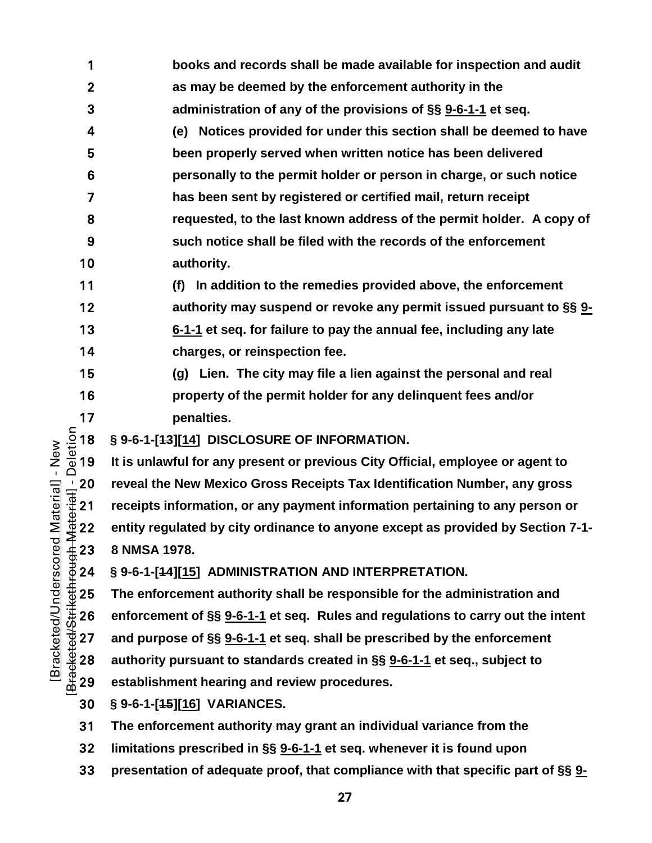- **books and records shall be made available for inspection and audit as may be deemed by the enforcement authority in the administration of any of the provisions of §§ [9-6-1-1](https://codelibrary.amlegal.com/codes/albuquerque/latest/albuquerque_nm/0-0-0-11482#JD_9-6-1-1) et seq. (e) Notices provided for under this section shall be deemed to have been properly served when written notice has been delivered personally to the permit holder or person in charge, or such notice has been sent by registered or certified mail, return receipt requested, to the last known address of the permit holder. A copy of such notice shall be filed with the records of the enforcement authority.**
- **(f) In addition to the remedies provided above, the enforcement authority may suspend or revoke any permit issued pursuant to §§ [9-](https://codelibrary.amlegal.com/codes/albuquerque/latest/albuquerque_nm/0-0-0-11482#JD_9-6-1-1) [6-1-1](https://codelibrary.amlegal.com/codes/albuquerque/latest/albuquerque_nm/0-0-0-11482#JD_9-6-1-1) et seq. for failure to pay the annual fee, including any late charges, or reinspection fee.**
- **(g) Lien. The city may file a lien against the personal and real property of the permit holder for any delinquent fees and/or**

**§ 9-6-1-[13][14] DISCLOSURE OF INFORMATION.**

**penalties.**<br>  $\frac{5}{8}$  18 § 9-6-1-[<del>13</del>][14] DISC<br>  $\frac{1}{8}$  19 It is unlawful for any **It is unlawful for any present or previous City Official, employee or agent to**  reveal the New Mexico Gross Receipts Tax Identification Number, any gross<br>  $\frac{1}{3}$  receipts information, or any payment information pertaining to any person or<br>  $\frac{1}{3}$  22 entity regulated by city ordinance to an **receipts information, or any payment information pertaining to any person or entity regulated by city ordinance to anyone except as provided by Section 7-1- 8 NMSA 1978.**

**§ 9-6-1-[14][15] ADMINISTRATION AND INTERPRETATION.**

25 The enforcement authority shall be responsible for the administration and<br>  $\begin{array}{l}\n\text{#}26 \\
\text{#}26 \\
\text{#}27 \\
\text{and purpose of } \S\S \underline{9\text{-}6\text{-}1\text{-}1} \text{ et seq. Rules and regulations to carry out the in} \\
\text{#}227 \\
\text{and purpose of } \S\S \underline{9\text{-}6\text{-}1\text{-}1} \text{ et seq. shall be prescribed by the enforcement}\n\end{array}$ <br>
2 **enforcement of §§ [9-6-1-1](https://codelibrary.amlegal.com/codes/albuquerque/latest/albuquerque_nm/0-0-0-11482#JD_9-6-1-1) et seq. Rules and regulations to carry out the intent and purpose of §§ [9-6-1-1](https://codelibrary.amlegal.com/codes/albuquerque/latest/albuquerque_nm/0-0-0-11482#JD_9-6-1-1) et seq. shall be prescribed by the enforcement authority pursuant to standards created in §§ [9-6-1-1](https://codelibrary.amlegal.com/codes/albuquerque/latest/albuquerque_nm/0-0-0-11482#JD_9-6-1-1) et seq., subject to**  establishment hearing and review procedures.

- **§ 9-6-1-[15][16] VARIANCES.**
- **The enforcement authority may grant an individual variance from the**
- **limitations prescribed in §§ [9-6-1-1](https://codelibrary.amlegal.com/codes/albuquerque/latest/albuquerque_nm/0-0-0-11482#JD_9-6-1-1) et seq. whenever it is found upon**
- **presentation of adequate proof, that compliance with that specific part of §§ [9-](https://codelibrary.amlegal.com/codes/albuquerque/latest/albuquerque_nm/0-0-0-11482#JD_9-6-1-1)**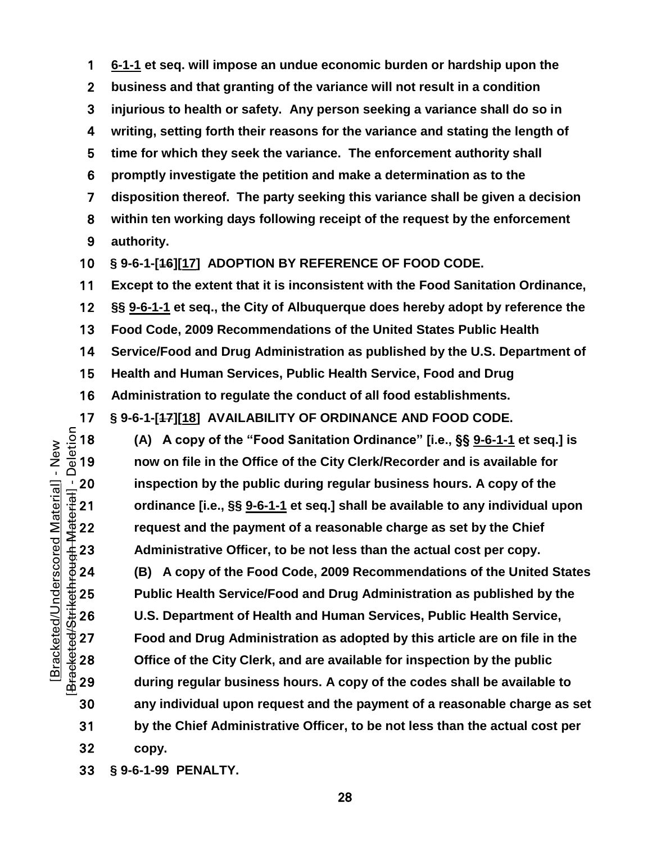**[6-1-1](https://codelibrary.amlegal.com/codes/albuquerque/latest/albuquerque_nm/0-0-0-11482#JD_9-6-1-1) et seq. will impose an undue economic burden or hardship upon the business and that granting of the variance will not result in a condition injurious to health or safety. Any person seeking a variance shall do so in writing, setting forth their reasons for the variance and stating the length of time for which they seek the variance. The enforcement authority shall promptly investigate the petition and make a determination as to the disposition thereof. The party seeking this variance shall be given a decision within ten working days following receipt of the request by the enforcement authority.**

**§ 9-6-1-[16][17] ADOPTION BY REFERENCE OF FOOD CODE.**

**Except to the extent that it is inconsistent with the Food Sanitation Ordinance,** 

**§§ [9-6-1-1](https://codelibrary.amlegal.com/codes/albuquerque/latest/albuquerque_nm/0-0-0-11482#JD_9-6-1-1) et seq., the City of Albuquerque does hereby adopt by reference the** 

**Food Code, 2009 Recommendations of the United States Public Health** 

**Service/Food and Drug Administration as published by the U.S. Department of** 

**Health and Human Services, Public Health Service, Food and Drug** 

**Administration to regulate the conduct of all food establishments.**

**§ 9-6-1-[47][18] AVAILABILITY OF ORDINANCE AND FOOD CODE.**<br>  $\frac{5}{10}$  18 (A) A copy of the "Food Sanitation Ordinance" [i.e., §§ <u>9-6-1-1</u><br>  $\frac{6}{10}$  19 now on file in the Office of the City Clerk/Recorder and is availa **(A) A copy of the "Food Sanitation Ordinance" [i.e., §§ [9-6-1-1](https://codelibrary.amlegal.com/codes/albuquerque/latest/albuquerque_nm/0-0-0-11482#JD_9-6-1-1) et seq.] is now on file in the Office of the City Clerk/Recorder and is available for**  the public during regular business hours. A copy of the<br>  $\frac{1}{3}$  21 ordinance [i.e., §§ <u>9-6-1-1</u> et seq.] shall be available to any individual u<br>
request and the payment of a reasonable charge as set by the Chief<br>  $\frac$ **ordinance [i.e., §§ [9-6-1-1](https://codelibrary.amlegal.com/codes/albuquerque/latest/albuquerque_nm/0-0-0-11482#JD_9-6-1-1) et seq.] shall be available to any individual upon request and the payment of a reasonable charge as set by the Chief**  Administrative Officer, to be not less than the actual cost per copy.

**(B) A copy of the Food Code, 2009 Recommendations of the United States**  Public Health Service/Food and Drug Administration as published by the<br>
∴‡26 U.S. Department of Health and Human Services, Public Health Service,<br>
⇒ 27 Food and Drug Administration as adopted by this article are on file i **U.S. Department of Health and Human Services, Public Health Service, Food and Drug Administration as adopted by this article are on file in the Office of the City Clerk, and are available for inspection by the public during regular business hours. A copy of the codes shall be available to any individual upon request and the payment of a reasonable charge as set by the Chief Administrative Officer, to be not less than the actual cost per copy.**

**§ 9-6-1-99 PENALTY.**

[Bracketed/Strikethrough Material] - Deletion Bracketed/Underscored Material] - New [Bracketed/Underscored Material] - New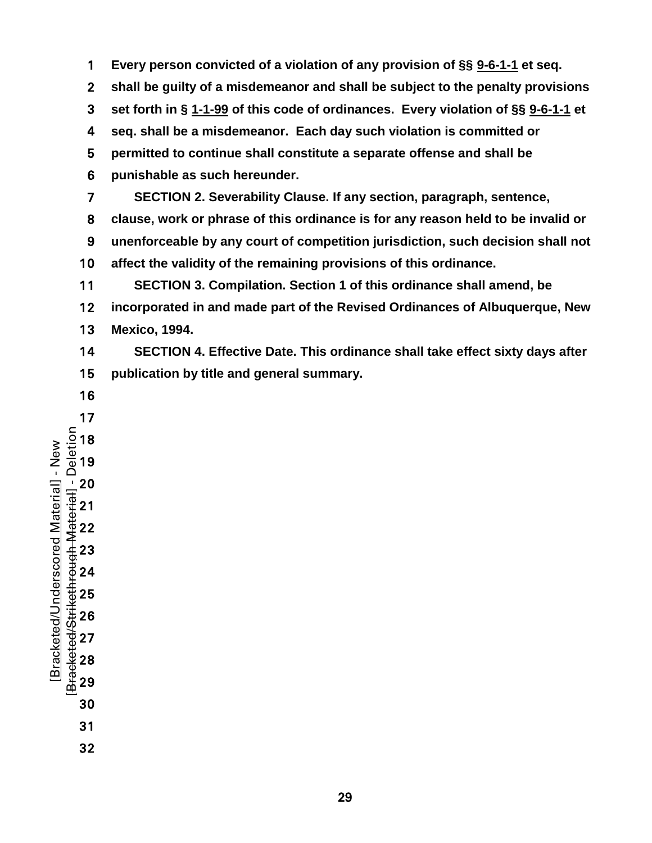- **Every person convicted of a violation of any provision of §§ [9-6-1-1](https://codelibrary.amlegal.com/codes/albuquerque/latest/albuquerque_nm/0-0-0-11482#JD_9-6-1-1) et seq.**
- **shall be guilty of a misdemeanor and shall be subject to the penalty provisions**
- **set forth in § [1-1-99](https://codelibrary.amlegal.com/codes/albuquerque/latest/albuquerque_nm/0-0-0-633#JD_1-1-99) of this code of ordinances. Every violation of §§ [9-6-1-1](https://codelibrary.amlegal.com/codes/albuquerque/latest/albuquerque_nm/0-0-0-11482#JD_9-6-1-1) et**
- **seq. shall be a misdemeanor. Each day such violation is committed or**
- **permitted to continue shall constitute a separate offense and shall be**
- **punishable as such hereunder.**
- **SECTION 2. Severability Clause. If any section, paragraph, sentence,**
- **clause, work or phrase of this ordinance is for any reason held to be invalid or**
- **unenforceable by any court of competition jurisdiction, such decision shall not affect the validity of the remaining provisions of this ordinance.**
- **SECTION 3. Compilation. Section 1 of this ordinance shall amend, be incorporated in and made part of the Revised Ordinances of Albuquerque, New Mexico, 1994.**
- **SECTION 4. Effective Date. This ordinance shall take effect sixty days after publication by title and general summary.**
- 
- [Bracketed/Strikethrough Material] - Deletion Bracketed/Underscored Material] - New [Bracketed/Underscored Material] - New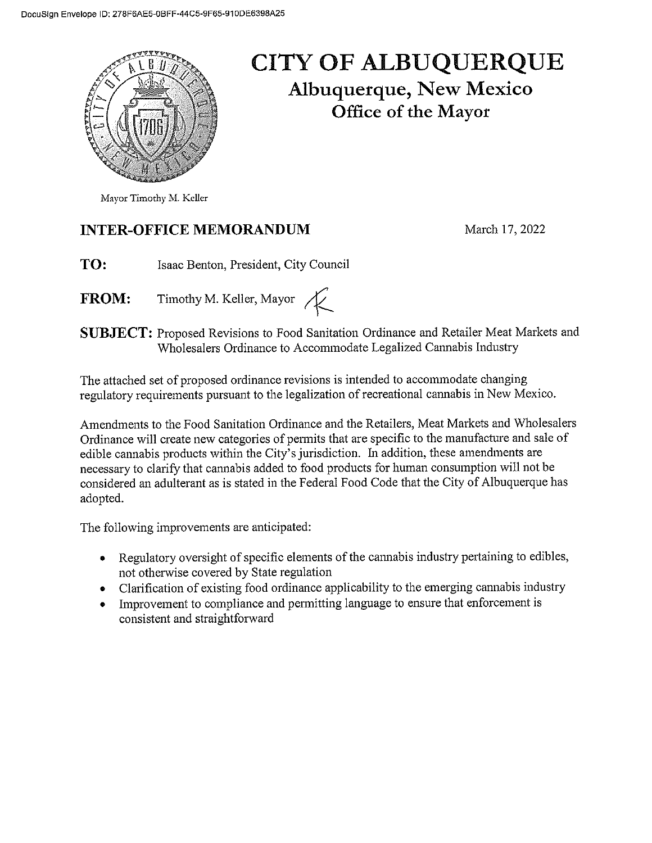

## **CITY OF ALBUQUERQUE Albuquerque, New Mexico** Office of the Mayor

## **INTER-OFFICE MEMORANDUM**

March 17, 2022

- TO: Isaac Benton, President, City Council
- Timothy M. Keller, Mayor  $\overline{\mathcal{K}}$ **FROM:**

**SUBJECT:** Proposed Revisions to Food Sanitation Ordinance and Retailer Meat Markets and Wholesalers Ordinance to Accommodate Legalized Cannabis Industry

The attached set of proposed ordinance revisions is intended to accommodate changing regulatory requirements pursuant to the legalization of recreational cannabis in New Mexico.

Amendments to the Food Sanitation Ordinance and the Retailers, Meat Markets and Wholesalers Ordinance will create new categories of permits that are specific to the manufacture and sale of edible cannabis products within the City's jurisdiction. In addition, these amendments are necessary to clarify that cannabis added to food products for human consumption will not be considered an adulterant as is stated in the Federal Food Code that the City of Albuquerque has adopted.

The following improvements are anticipated:

- Regulatory oversight of specific elements of the cannabis industry pertaining to edibles,  $\bullet$ not otherwise covered by State regulation
- Clarification of existing food ordinance applicability to the emerging cannabis industry  $\bullet$
- Improvement to compliance and permitting language to ensure that enforcement is  $\bullet$ consistent and straightforward

Mayor Timothy M. Keller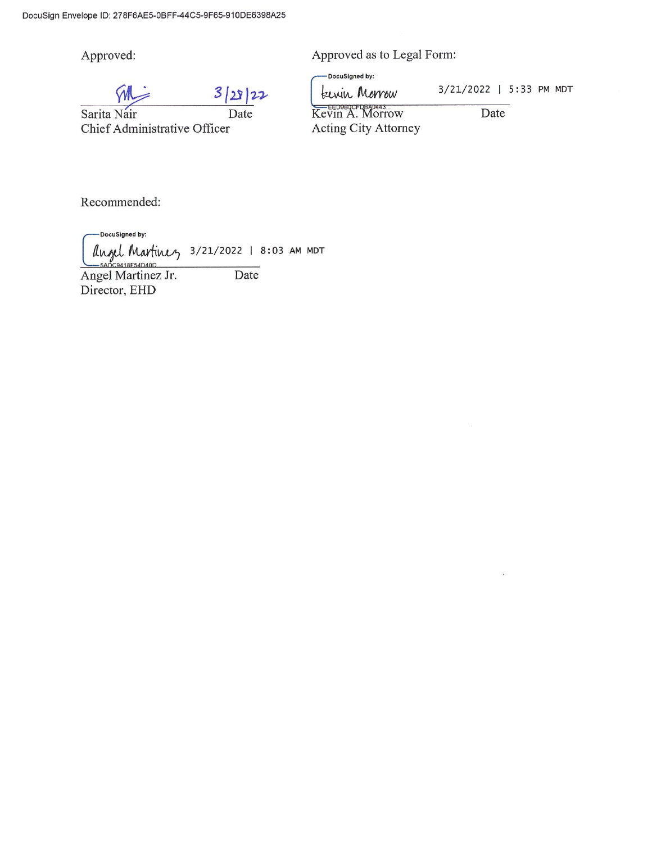Approved:

 $3|28|22$ 

Date Sarita Nair Chief Administrative Officer

Approved as to Legal Form:

DocuSigned by:

3/21/2022 | 5:33 PM MDT Lewin Morrow

Kevin A. Morrow Acting City Attorney

Date

Recommended:

-DocuSigned by: angel Martinez 3/21/2022 | 8:03 AM MDT 0419E54D40D Date

Angel Martinez Jr. Director, EHD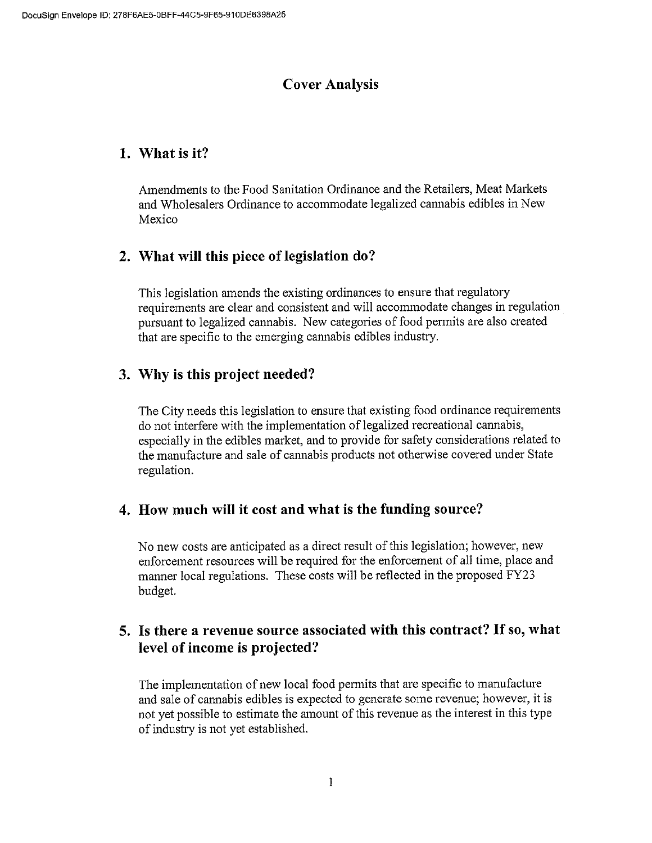### **Cover Analysis**

### 1. What is it?

Amendments to the Food Sanitation Ordinance and the Retailers, Meat Markets and Wholesalers Ordinance to accommodate legalized cannabis edibles in New Mexico

## 2. What will this piece of legislation do?

This legislation amends the existing ordinances to ensure that regulatory requirements are clear and consistent and will accommodate changes in regulation pursuant to legalized cannabis. New categories of food permits are also created that are specific to the emerging cannabis edibles industry.

## 3. Why is this project needed?

The City needs this legislation to ensure that existing food ordinance requirements do not interfere with the implementation of legalized recreational cannabis, especially in the edibles market, and to provide for safety considerations related to the manufacture and sale of cannabis products not otherwise covered under State regulation.

#### 4. How much will it cost and what is the funding source?

No new costs are anticipated as a direct result of this legislation; however, new enforcement resources will be required for the enforcement of all time, place and manner local regulations. These costs will be reflected in the proposed FY23 budget.

## 5. Is there a revenue source associated with this contract? If so, what level of income is projected?

The implementation of new local food permits that are specific to manufacture and sale of cannabis edibles is expected to generate some revenue; however, it is not yet possible to estimate the amount of this revenue as the interest in this type of industry is not yet established.